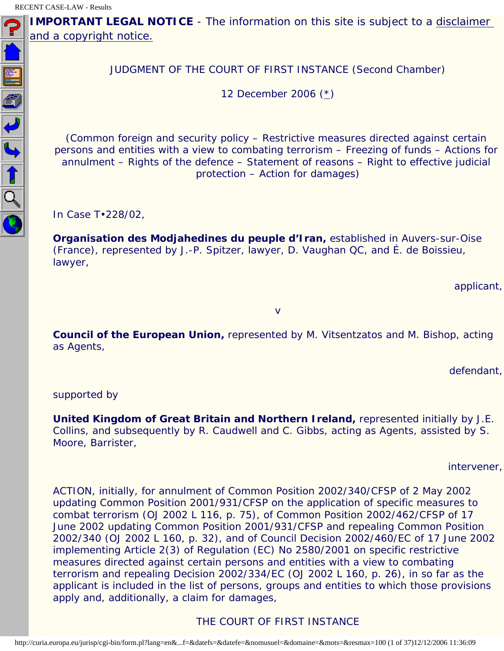<span id="page-0-0"></span>NOTIFIC

**IMPORTANT LEGAL NOTICE** - The information on this site is subject to a disclaimer [and a copyright notice.](javascript:window.open() 

JUDGMENT OF THE COURT OF FIRST INSTANCE (Second Chamber)

12 December 2006 ([\\*](#page-36-0))

(Common foreign and security policy – Restrictive measures directed against certain persons and entities with a view to combating terrorism – Freezing of funds – Actions for annulment – Rights of the defence – Statement of reasons – Right to effective judicial protection – Action for damages)

In Case T•228/02,

**Organisation des Modjahedines du peuple d'Iran,** established in Auvers-sur-Oise (France), represented by J.-P. Spitzer, lawyer, D. Vaughan QC, and É. de Boissieu, lawyer,

applicant,

v

**Council of the European Union,** represented by M. Vitsentzatos and M. Bishop, acting as Agents,

defendant,

supported by

**United Kingdom of Great Britain and Northern Ireland,** represented initially by J.E. Collins, and subsequently by R. Caudwell and C. Gibbs, acting as Agents, assisted by S. Moore, Barrister,

intervener,

ACTION, initially, for annulment of Common Position 2002/340/CFSP of 2 May 2002 updating Common Position 2001/931/CFSP on the application of specific measures to combat terrorism (OJ 2002 L 116, p. 75), of Common Position 2002/462/CFSP of 17 June 2002 updating Common Position 2001/931/CFSP and repealing Common Position 2002/340 (OJ 2002 L 160, p. 32), and of Council Decision 2002/460/EC of 17 June 2002 implementing Article 2(3) of Regulation (EC) No 2580/2001 on specific restrictive measures directed against certain persons and entities with a view to combating terrorism and repealing Decision 2002/334/EC (OJ 2002 L 160, p. 26), in so far as the applicant is included in the list of persons, groups and entities to which those provisions apply and, additionally, a claim for damages,

# THE COURT OF FIRST INSTANCE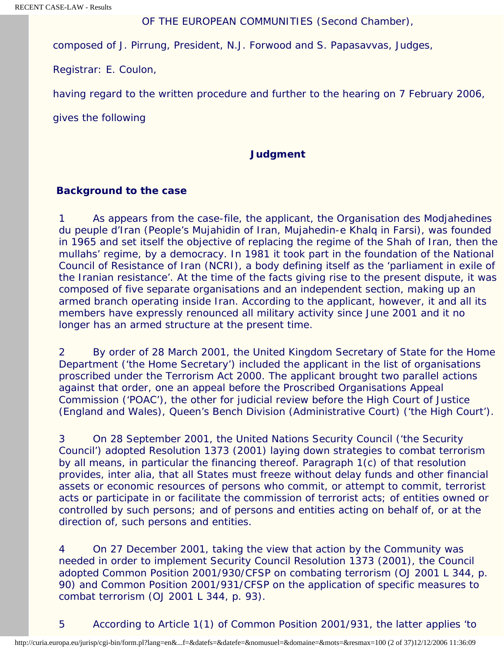#### OF THE EUROPEAN COMMUNITIES (Second Chamber),

composed of J. Pirrung, President, N.J. Forwood and S. Papasavvas, Judges,

Registrar: E. Coulon,

having regard to the written procedure and further to the hearing on 7 February 2006,

gives the following

#### **Judgment**

#### **Background to the case**

1 As appears from the case-file, the applicant, the Organisation des Modjahedines du peuple d'Iran (People's Mujahidin of Iran, Mujahedin-e Khalq in Farsi), was founded in 1965 and set itself the objective of replacing the regime of the Shah of Iran, then the mullahs' regime, by a democracy. In 1981 it took part in the foundation of the National Council of Resistance of Iran (NCRI), a body defining itself as the 'parliament in exile of the Iranian resistance'. At the time of the facts giving rise to the present dispute, it was composed of five separate organisations and an independent section, making up an armed branch operating inside Iran. According to the applicant, however, it and all its members have expressly renounced all military activity since June 2001 and it no longer has an armed structure at the present time.

2 By order of 28 March 2001, the United Kingdom Secretary of State for the Home Department ('the Home Secretary') included the applicant in the list of organisations proscribed under the Terrorism Act 2000. The applicant brought two parallel actions against that order, one an appeal before the Proscribed Organisations Appeal Commission ('POAC'), the other for judicial review before the High Court of Justice (England and Wales), Queen's Bench Division (Administrative Court) ('the High Court').

3 On 28 September 2001, the United Nations Security Council ('the Security Council') adopted Resolution 1373 (2001) laying down strategies to combat terrorism by all means, in particular the financing thereof. Paragraph 1(c) of that resolution provides, inter alia, that all States must freeze without delay funds and other financial assets or economic resources of persons who commit, or attempt to commit, terrorist acts or participate in or facilitate the commission of terrorist acts; of entities owned or controlled by such persons; and of persons and entities acting on behalf of, or at the direction of, such persons and entities.

4 On 27 December 2001, taking the view that action by the Community was needed in order to implement Security Council Resolution 1373 (2001), the Council adopted Common Position 2001/930/CFSP on combating terrorism (OJ 2001 L 344, p. 90) and Common Position 2001/931/CFSP on the application of specific measures to combat terrorism (OJ 2001 L 344, p. 93).

5 According to Article 1(1) of Common Position 2001/931, the latter applies 'to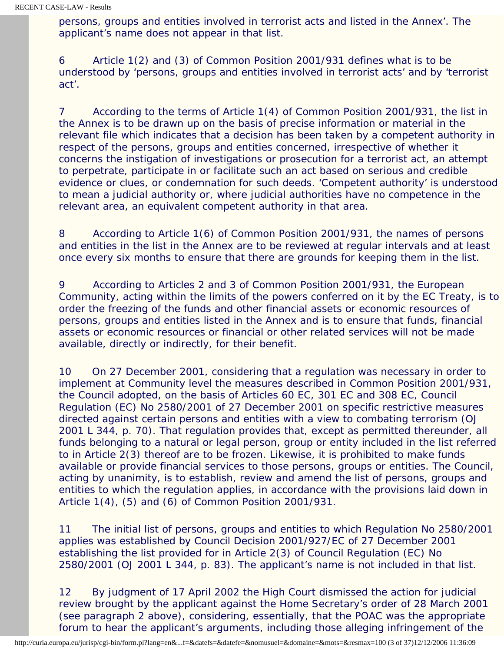persons, groups and entities involved in terrorist acts and listed in the Annex'. The applicant's name does not appear in that list.

6 Article 1(2) and (3) of Common Position 2001/931 defines what is to be understood by 'persons, groups and entities involved in terrorist acts' and by 'terrorist act'.

7 According to the terms of Article 1(4) of Common Position 2001/931, the list in the Annex is to be drawn up on the basis of precise information or material in the relevant file which indicates that a decision has been taken by a competent authority in respect of the persons, groups and entities concerned, irrespective of whether it concerns the instigation of investigations or prosecution for a terrorist act, an attempt to perpetrate, participate in or facilitate such an act based on serious and credible evidence or clues, or condemnation for such deeds. 'Competent authority' is understood to mean a judicial authority or, where judicial authorities have no competence in the relevant area, an equivalent competent authority in that area.

8 According to Article 1(6) of Common Position 2001/931, the names of persons and entities in the list in the Annex are to be reviewed at regular intervals and at least once every six months to ensure that there are grounds for keeping them in the list.

9 According to Articles 2 and 3 of Common Position 2001/931, the European Community, acting within the limits of the powers conferred on it by the EC Treaty, is to order the freezing of the funds and other financial assets or economic resources of persons, groups and entities listed in the Annex and is to ensure that funds, financial assets or economic resources or financial or other related services will not be made available, directly or indirectly, for their benefit.

10 On 27 December 2001, considering that a regulation was necessary in order to implement at Community level the measures described in Common Position 2001/931, the Council adopted, on the basis of Articles 60 EC, 301 EC and 308 EC, Council Regulation (EC) No 2580/2001 of 27 December 2001 on specific restrictive measures directed against certain persons and entities with a view to combating terrorism (OJ 2001 L 344, p. 70). That regulation provides that, except as permitted thereunder, all funds belonging to a natural or legal person, group or entity included in the list referred to in Article 2(3) thereof are to be frozen. Likewise, it is prohibited to make funds available or provide financial services to those persons, groups or entities. The Council, acting by unanimity, is to establish, review and amend the list of persons, groups and entities to which the regulation applies, in accordance with the provisions laid down in Article 1(4), (5) and (6) of Common Position 2001/931.

11 The initial list of persons, groups and entities to which Regulation No 2580/2001 applies was established by Council Decision 2001/927/EC of 27 December 2001 establishing the list provided for in Article 2(3) of Council Regulation (EC) No 2580/2001 (OJ 2001 L 344, p. 83). The applicant's name is not included in that list.

12 By judgment of 17 April 2002 the High Court dismissed the action for judicial review brought by the applicant against the Home Secretary's order of 28 March 2001 (see paragraph 2 above), considering, essentially, that the POAC was the appropriate forum to hear the applicant's arguments, including those alleging infringement of the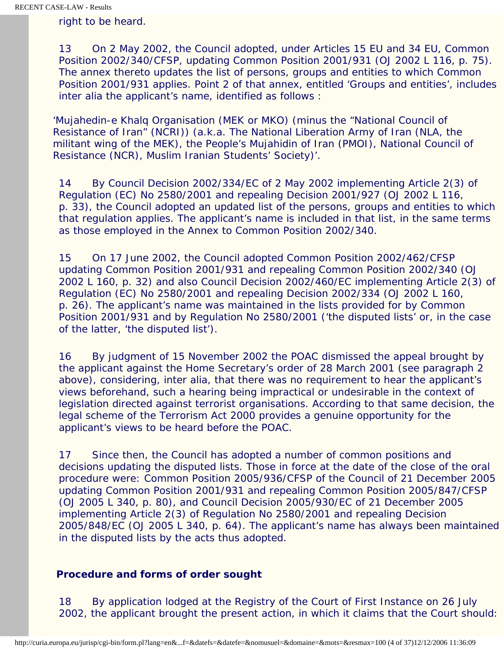right to be heard.

13 On 2 May 2002, the Council adopted, under Articles 15 EU and 34 EU, Common Position 2002/340/CFSP, updating Common Position 2001/931 (OJ 2002 L 116, p. 75). The annex thereto updates the list of persons, groups and entities to which Common Position 2001/931 applies. Point 2 of that annex, entitled 'Groups and entities', includes inter alia the applicant's name, identified as follows :

'Mujahedin-e Khalq Organisation (MEK or MKO) (minus the "National Council of Resistance of Iran" (NCRI)) (a.k.a. The National Liberation Army of Iran (NLA, the militant wing of the MEK), the People's Mujahidin of Iran (PMOI), National Council of Resistance (NCR), Muslim Iranian Students' Society)'.

14 By Council Decision 2002/334/EC of 2 May 2002 implementing Article 2(3) of Regulation (EC) No 2580/2001 and repealing Decision 2001/927 (OJ 2002 L 116, p. 33), the Council adopted an updated list of the persons, groups and entities to which that regulation applies. The applicant's name is included in that list, in the same terms as those employed in the Annex to Common Position 2002/340.

15 On 17 June 2002, the Council adopted Common Position 2002/462/CFSP updating Common Position 2001/931 and repealing Common Position 2002/340 (OJ 2002 L 160, p. 32) and also Council Decision 2002/460/EC implementing Article 2(3) of Regulation (EC) No 2580/2001 and repealing Decision 2002/334 (OJ 2002 L 160, p. 26). The applicant's name was maintained in the lists provided for by Common Position 2001/931 and by Regulation No 2580/2001 ('the disputed lists' or, in the case of the latter, 'the disputed list').

16 By judgment of 15 November 2002 the POAC dismissed the appeal brought by the applicant against the Home Secretary's order of 28 March 2001 (see paragraph 2 above), considering, inter alia, that there was no requirement to hear the applicant's views beforehand, such a hearing being impractical or undesirable in the context of legislation directed against terrorist organisations. According to that same decision, the legal scheme of the Terrorism Act 2000 provides a genuine opportunity for the applicant's views to be heard before the POAC.

17 Since then, the Council has adopted a number of common positions and decisions updating the disputed lists. Those in force at the date of the close of the oral procedure were: Common Position 2005/936/CFSP of the Council of 21 December 2005 updating Common Position 2001/931 and repealing Common Position 2005/847/CFSP (OJ 2005 L 340, p. 80), and Council Decision 2005/930/EC of 21 December 2005 implementing Article 2(3) of Regulation No 2580/2001 and repealing Decision 2005/848/EC (OJ 2005 L 340, p. 64). The applicant's name has always been maintained in the disputed lists by the acts thus adopted.

## **Procedure and forms of order sought**

18 By application lodged at the Registry of the Court of First Instance on 26 July 2002, the applicant brought the present action, in which it claims that the Court should: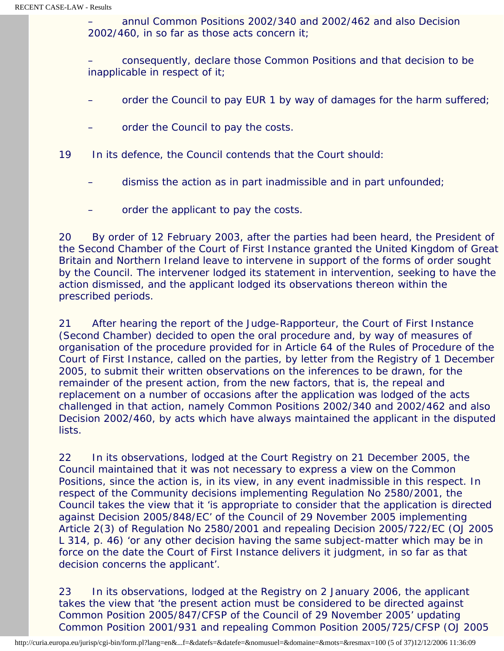– annul Common Positions 2002/340 and 2002/462 and also Decision 2002/460, in so far as those acts concern it;

– consequently, declare those Common Positions and that decision to be inapplicable in respect of it;

- order the Council to pay EUR 1 by way of damages for the harm suffered;
- order the Council to pay the costs.
- 19 In its defence, the Council contends that the Court should:
	- dismiss the action as in part inadmissible and in part unfounded;
	- order the applicant to pay the costs.

20 By order of 12 February 2003, after the parties had been heard, the President of the Second Chamber of the Court of First Instance granted the United Kingdom of Great Britain and Northern Ireland leave to intervene in support of the forms of order sought by the Council. The intervener lodged its statement in intervention, seeking to have the action dismissed, and the applicant lodged its observations thereon within the prescribed periods.

21 After hearing the report of the Judge-Rapporteur, the Court of First Instance (Second Chamber) decided to open the oral procedure and, by way of measures of organisation of the procedure provided for in Article 64 of the Rules of Procedure of the Court of First Instance, called on the parties, by letter from the Registry of 1 December 2005, to submit their written observations on the inferences to be drawn, for the remainder of the present action, from the new factors, that is, the repeal and replacement on a number of occasions after the application was lodged of the acts challenged in that action, namely Common Positions 2002/340 and 2002/462 and also Decision 2002/460, by acts which have always maintained the applicant in the disputed lists.

22 In its observations, lodged at the Court Registry on 21 December 2005, the Council maintained that it was not necessary to express a view on the Common Positions, since the action is, in its view, in any event inadmissible in this respect. In respect of the Community decisions implementing Regulation No 2580/2001, the Council takes the view that it 'is appropriate to consider that the application is directed against Decision 2005/848/EC' of the Council of 29 November 2005 implementing Article 2(3) of Regulation No 2580/2001 and repealing Decision 2005/722/EC (OJ 2005 L 314, p. 46) 'or any other decision having the same subject-matter which may be in force on the date the Court of First Instance delivers it judgment, in so far as that decision concerns the applicant'.

23 In its observations, lodged at the Registry on 2 January 2006, the applicant takes the view that 'the present action must be considered to be directed against Common Position 2005/847/CFSP of the Council of 29 November 2005' updating Common Position 2001/931 and repealing Common Position 2005/725/CFSP (OJ 2005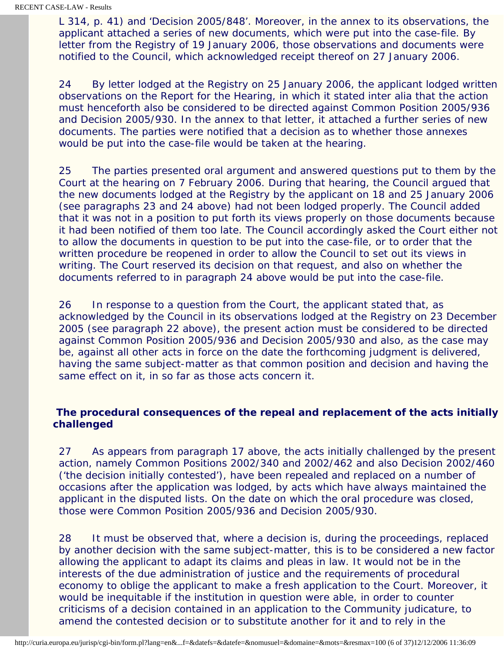L 314, p. 41) and 'Decision 2005/848'. Moreover, in the annex to its observations, the applicant attached a series of new documents, which were put into the case-file. By letter from the Registry of 19 January 2006, those observations and documents were notified to the Council, which acknowledged receipt thereof on 27 January 2006.

24 By letter lodged at the Registry on 25 January 2006, the applicant lodged written observations on the Report for the Hearing, in which it stated inter alia that the action must henceforth also be considered to be directed against Common Position 2005/936 and Decision 2005/930. In the annex to that letter, it attached a further series of new documents. The parties were notified that a decision as to whether those annexes would be put into the case-file would be taken at the hearing.

25 The parties presented oral argument and answered questions put to them by the Court at the hearing on 7 February 2006. During that hearing, the Council argued that the new documents lodged at the Registry by the applicant on 18 and 25 January 2006 (see paragraphs 23 and 24 above) had not been lodged properly. The Council added that it was not in a position to put forth its views properly on those documents because it had been notified of them too late. The Council accordingly asked the Court either not to allow the documents in question to be put into the case-file, or to order that the written procedure be reopened in order to allow the Council to set out its views in writing. The Court reserved its decision on that request, and also on whether the documents referred to in paragraph 24 above would be put into the case-file.

26 In response to a question from the Court, the applicant stated that, as acknowledged by the Council in its observations lodged at the Registry on 23 December 2005 (see paragraph 22 above), the present action must be considered to be directed against Common Position 2005/936 and Decision 2005/930 and also, as the case may be, against all other acts in force on the date the forthcoming judgment is delivered, having the same subject-matter as that common position and decision and having the same effect on it, in so far as those acts concern it.

## **The procedural consequences of the repeal and replacement of the acts initially challenged**

27 As appears from paragraph 17 above, the acts initially challenged by the present action, namely Common Positions 2002/340 and 2002/462 and also Decision 2002/460 ('the decision initially contested'), have been repealed and replaced on a number of occasions after the application was lodged, by acts which have always maintained the applicant in the disputed lists. On the date on which the oral procedure was closed, those were Common Position 2005/936 and Decision 2005/930.

28 It must be observed that, where a decision is, during the proceedings, replaced by another decision with the same subject-matter, this is to be considered a new factor allowing the applicant to adapt its claims and pleas in law. It would not be in the interests of the due administration of justice and the requirements of procedural economy to oblige the applicant to make a fresh application to the Court. Moreover, it would be inequitable if the institution in question were able, in order to counter criticisms of a decision contained in an application to the Community judicature, to amend the contested decision or to substitute another for it and to rely in the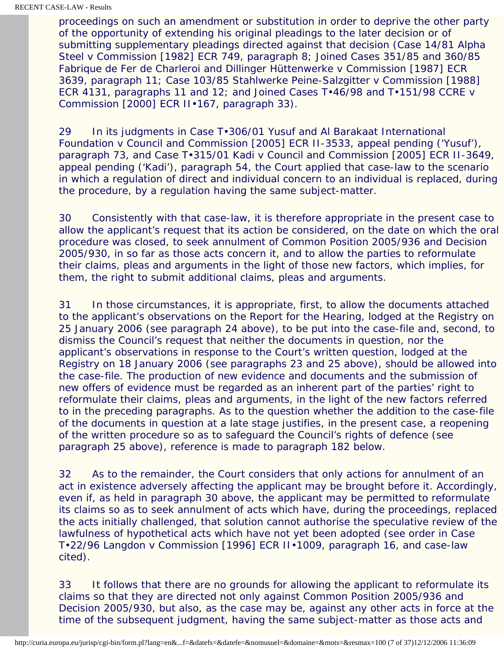proceedings on such an amendment or substitution in order to deprive the other party of the opportunity of extending his original pleadings to the later decision or of submitting supplementary pleadings directed against that decision (Case 14/81 *Alpha Steel* v *Commission* [1982] ECR 749, paragraph 8; Joined Cases 351/85 and 360/85 *Fabrique de Fer de Charleroi and Dillinger Hüttenwerke* v *Commission* [1987] ECR 3639, paragraph 11; Case 103/85 *Stahlwerke Peine-Salzgitter* v *Commission* [1988] ECR 4131, paragraphs 11 and 12; and Joined Cases T•46/98 and T•151/98 *CCRE* v *Commission* [2000] ECR II•167, paragraph 33).

29 In its judgments in Case T•306/01 *Yusuf and Al Barakaat International Foundation* v *Council and Commission* [2005] ECR II-3533, appeal pending ('*Yusuf*'), paragraph 73, and Case T•315/01 *Kadi* v *Council and Commission* [2005] ECR II-3649, appeal pending ('*Kadi*'), paragraph 54, the Court applied that case-law to the scenario in which a regulation of direct and individual concern to an individual is replaced, during the procedure, by a regulation having the same subject-matter.

30 Consistently with that case-law, it is therefore appropriate in the present case to allow the applicant's request that its action be considered, on the date on which the oral procedure was closed, to seek annulment of Common Position 2005/936 and Decision 2005/930, in so far as those acts concern it, and to allow the parties to reformulate their claims, pleas and arguments in the light of those new factors, which implies, for them, the right to submit additional claims, pleas and arguments.

31 In those circumstances, it is appropriate, first, to allow the documents attached to the applicant's observations on the Report for the Hearing, lodged at the Registry on 25 January 2006 (see paragraph 24 above), to be put into the case-file and, second, to dismiss the Council's request that neither the documents in question, nor the applicant's observations in response to the Court's written question, lodged at the Registry on 18 January 2006 (see paragraphs 23 and 25 above), should be allowed into the case-file. The production of new evidence and documents and the submission of new offers of evidence must be regarded as an inherent part of the parties' right to reformulate their claims, pleas and arguments, in the light of the new factors referred to in the preceding paragraphs. As to the question whether the addition to the case-file of the documents in question at a late stage justifies, in the present case, a reopening of the written procedure so as to safeguard the Council's rights of defence (see paragraph 25 above), reference is made to paragraph 182 below.

32 As to the remainder, the Court considers that only actions for annulment of an act in existence adversely affecting the applicant may be brought before it. Accordingly, even if, as held in paragraph 30 above, the applicant may be permitted to reformulate its claims so as to seek annulment of acts which have, during the proceedings, replaced the acts initially challenged, that solution cannot authorise the speculative review of the lawfulness of hypothetical acts which have not yet been adopted (see order in Case T•22/96 *Langdon* v *Commission* [1996] ECR II•1009, paragraph 16, and case-law cited).

33 It follows that there are no grounds for allowing the applicant to reformulate its claims so that they are directed not only against Common Position 2005/936 and Decision 2005/930, but also, as the case may be, against any other acts in force at the time of the subsequent judgment, having the same subject-matter as those acts and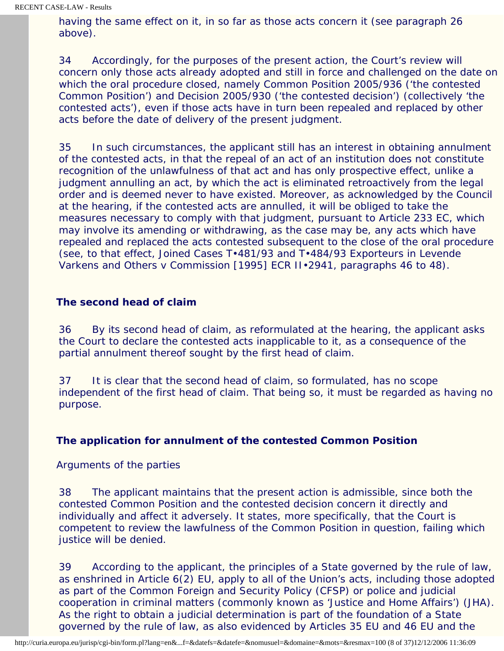having the same effect on it, in so far as those acts concern it (see paragraph 26 above).

34 Accordingly, for the purposes of the present action, the Court's review will concern only those acts already adopted and still in force and challenged on the date on which the oral procedure closed, namely Common Position 2005/936 ('the contested Common Position') and Decision 2005/930 ('the contested decision') (collectively 'the contested acts'), even if those acts have in turn been repealed and replaced by other acts before the date of delivery of the present judgment.

35 In such circumstances, the applicant still has an interest in obtaining annulment of the contested acts, in that the repeal of an act of an institution does not constitute recognition of the unlawfulness of that act and has only prospective effect, unlike a judgment annulling an act, by which the act is eliminated retroactively from the legal order and is deemed never to have existed. Moreover, as acknowledged by the Council at the hearing, if the contested acts are annulled, it will be obliged to take the measures necessary to comply with that judgment, pursuant to Article 233 EC, which may involve its amending or withdrawing, as the case may be, any acts which have repealed and replaced the acts contested subsequent to the close of the oral procedure (see, to that effect, Joined Cases T•481/93 and T•484/93 *Exporteurs in Levende Varkens and Others* v *Commission* [1995] ECR II•2941, paragraphs 46 to 48).

## **The second head of claim**

36 By its second head of claim, as reformulated at the hearing, the applicant asks the Court to declare the contested acts inapplicable to it, as a consequence of the partial annulment thereof sought by the first head of claim.

37 It is clear that the second head of claim, so formulated, has no scope independent of the first head of claim. That being so, it must be regarded as having no purpose.

## **The application for annulment of the contested Common Position**

#### *Arguments of the parties*

38 The applicant maintains that the present action is admissible, since both the contested Common Position and the contested decision concern it directly and individually and affect it adversely. It states, more specifically, that the Court is competent to review the lawfulness of the Common Position in question, failing which justice will be denied.

39 According to the applicant, the principles of a State governed by the rule of law, as enshrined in Article 6(2) EU, apply to all of the Union's acts, including those adopted as part of the Common Foreign and Security Policy (CFSP) or police and judicial cooperation in criminal matters (commonly known as 'Justice and Home Affairs') (JHA). As the right to obtain a judicial determination is part of the foundation of a State governed by the rule of law, as also evidenced by Articles 35 EU and 46 EU and the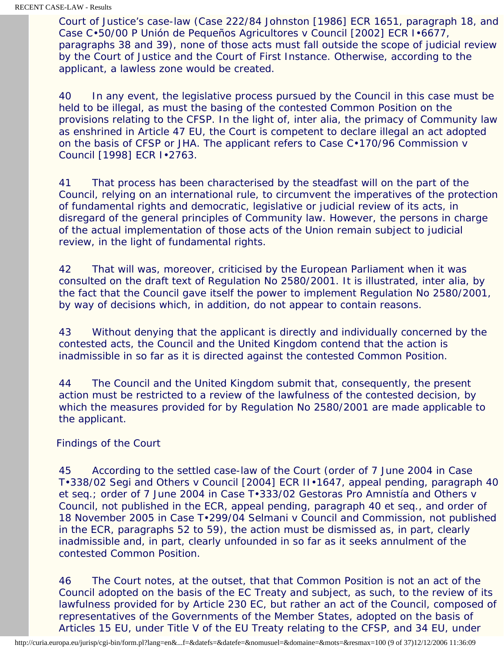Court of Justice's case-law (Case 222/84 *Johnston* [1986] ECR 1651, paragraph 18, and Case C•50/00 P *Unión de Pequeños Agricultores* v *Council* [2002] ECR I•6677, paragraphs 38 and 39), none of those acts must fall outside the scope of judicial review by the Court of Justice and the Court of First Instance. Otherwise, according to the applicant, a lawless zone would be created.

40 In any event, the legislative process pursued by the Council in this case must be held to be illegal, as must the basing of the contested Common Position on the provisions relating to the CFSP. In the light of, inter alia, the primacy of Community law as enshrined in Article 47 EU, the Court is competent to declare illegal an act adopted on the basis of CFSP or JHA. The applicant refers to Case C•170/96 *Commission* v *Council* [1998] ECR I•2763.

41 That process has been characterised by the steadfast will on the part of the Council, relying on an international rule, to circumvent the imperatives of the protection of fundamental rights and democratic, legislative or judicial review of its acts, in disregard of the general principles of Community law. However, the persons in charge of the actual implementation of those acts of the Union remain subject to judicial review, in the light of fundamental rights.

42 That will was, moreover, criticised by the European Parliament when it was consulted on the draft text of Regulation No 2580/2001. It is illustrated, inter alia, by the fact that the Council gave itself the power to implement Regulation No 2580/2001, by way of decisions which, in addition, do not appear to contain reasons.

43 Without denying that the applicant is directly and individually concerned by the contested acts, the Council and the United Kingdom contend that the action is inadmissible in so far as it is directed against the contested Common Position.

44 The Council and the United Kingdom submit that, consequently, the present action must be restricted to a review of the lawfulness of the contested decision, by which the measures provided for by Regulation No 2580/2001 are made applicable to the applicant.

#### *Findings of the Court*

45 According to the settled case-law of the Court (order of 7 June 2004 in Case T•338/02 *Segi and Others* v *Council* [2004] ECR II•1647, appeal pending, paragraph 40 et seq.; order of 7 June 2004 in Case T•333/02 *Gestoras Pro Amnistía and Others* v *Council*, not published in the ECR, appeal pending, paragraph 40 et seq., and order of 18 November 2005 in Case T•299/04 *Selmani* v *Council and Commission*, not published in the ECR, paragraphs 52 to 59), the action must be dismissed as, in part, clearly inadmissible and, in part, clearly unfounded in so far as it seeks annulment of the contested Common Position.

46 The Court notes, at the outset, that that Common Position is not an act of the Council adopted on the basis of the EC Treaty and subject, as such, to the review of its lawfulness provided for by Article 230 EC, but rather an act of the Council, composed of representatives of the Governments of the Member States, adopted on the basis of Articles 15 EU, under Title V of the EU Treaty relating to the CFSP, and 34 EU, under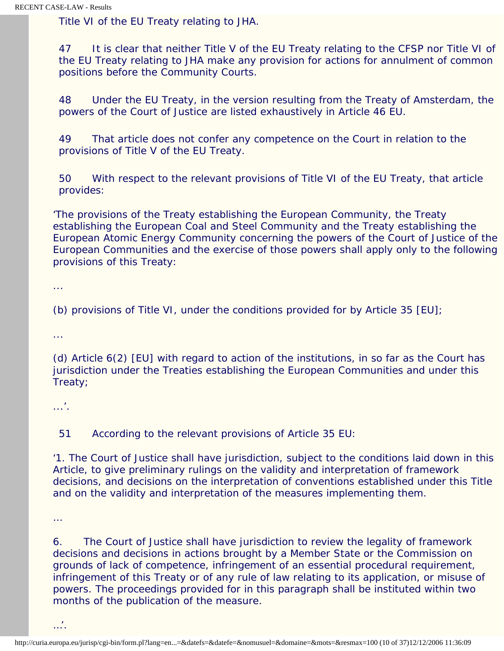Title VI of the EU Treaty relating to JHA.

47 It is clear that neither Title V of the EU Treaty relating to the CFSP nor Title VI of the EU Treaty relating to JHA make any provision for actions for annulment of common positions before the Community Courts.

48 Under the EU Treaty, in the version resulting from the Treaty of Amsterdam, the powers of the Court of Justice are listed exhaustively in Article 46 EU.

49 That article does not confer any competence on the Court in relation to the provisions of Title V of the EU Treaty.

50 With respect to the relevant provisions of Title VI of the EU Treaty, that article provides:

'The provisions of the Treaty establishing the European Community, the Treaty establishing the European Coal and Steel Community and the Treaty establishing the European Atomic Energy Community concerning the powers of the Court of Justice of the European Communities and the exercise of those powers shall apply only to the following provisions of this Treaty:

...

(b) provisions of Title VI, under the conditions provided for by Article 35 [EU];

...

(d) Article 6(2) [EU] with regard to action of the institutions, in so far as the Court has jurisdiction under the Treaties establishing the European Communities and under this Treaty;

...'.

51 According to the relevant provisions of Article 35 EU:

'1. The Court of Justice shall have jurisdiction, subject to the conditions laid down in this Article, to give preliminary rulings on the validity and interpretation of framework decisions, and decisions on the interpretation of conventions established under this Title and on the validity and interpretation of the measures implementing them.

…

6. The Court of Justice shall have jurisdiction to review the legality of framework decisions and decisions in actions brought by a Member State or the Commission on grounds of lack of competence, infringement of an essential procedural requirement, infringement of this Treaty or of any rule of law relating to its application, or misuse of powers. The proceedings provided for in this paragraph shall be instituted within two months of the publication of the measure.

…'.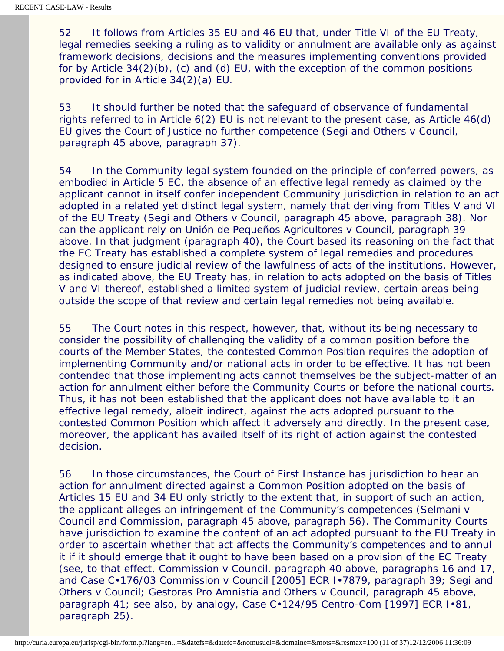52 It follows from Articles 35 EU and 46 EU that, under Title VI of the EU Treaty, legal remedies seeking a ruling as to validity or annulment are available only as against framework decisions, decisions and the measures implementing conventions provided for by Article 34(2)(b), (c) and (d) EU, with the exception of the common positions provided for in Article 34(2)(a) EU.

53 It should further be noted that the safeguard of observance of fundamental rights referred to in Article 6(2) EU is not relevant to the present case, as Article 46(d) EU gives the Court of Justice no further competence (*Segi and Others* v *Council*, paragraph 45 above, paragraph 37).

54 In the Community legal system founded on the principle of conferred powers, as embodied in Article 5 EC, the absence of an effective legal remedy as claimed by the applicant cannot in itself confer independent Community jurisdiction in relation to an act adopted in a related yet distinct legal system, namely that deriving from Titles V and VI of the EU Treaty (*Segi and Others* v *Council*, paragraph 45 above, paragraph 38). Nor can the applicant rely on *Unión de Pequeños Agricultores* v *Council*, paragraph 39 above. In that judgment (paragraph 40), the Court based its reasoning on the fact that the EC Treaty has established a complete system of legal remedies and procedures designed to ensure judicial review of the lawfulness of acts of the institutions. However, as indicated above, the EU Treaty has, in relation to acts adopted on the basis of Titles V and VI thereof, established a limited system of judicial review, certain areas being outside the scope of that review and certain legal remedies not being available.

55 The Court notes in this respect, however, that, without its being necessary to consider the possibility of challenging the validity of a common position before the courts of the Member States, the contested Common Position requires the adoption of implementing Community and/or national acts in order to be effective. It has not been contended that those implementing acts cannot themselves be the subject-matter of an action for annulment either before the Community Courts or before the national courts. Thus, it has not been established that the applicant does not have available to it an effective legal remedy, albeit indirect, against the acts adopted pursuant to the contested Common Position which affect it adversely and directly. In the present case, moreover, the applicant has availed itself of its right of action against the contested decision.

56 In those circumstances, the Court of First Instance has jurisdiction to hear an action for annulment directed against a Common Position adopted on the basis of Articles 15 EU and 34 EU only strictly to the extent that, in support of such an action, the applicant alleges an infringement of the Community's competences (*Selmani* v *Council and Commission*, paragraph 45 above, paragraph 56). The Community Courts have jurisdiction to examine the content of an act adopted pursuant to the EU Treaty in order to ascertain whether that act affects the Community's competences and to annul it if it should emerge that it ought to have been based on a provision of the EC Treaty (see, to that effect, *Commission* v *Council*, paragraph 40 above, paragraphs 16 and 17, and Case C•176/03 *Commission* v *Council* [2005] ECR I•7879, paragraph 39; *Segi and Others* v *Council*; *Gestoras Pro Amnistía and Others* v *Council*, paragraph 45 above, paragraph 41; see also, by analogy, Case C•124/95 *Centro-Com* [1997] ECR I•81, paragraph 25).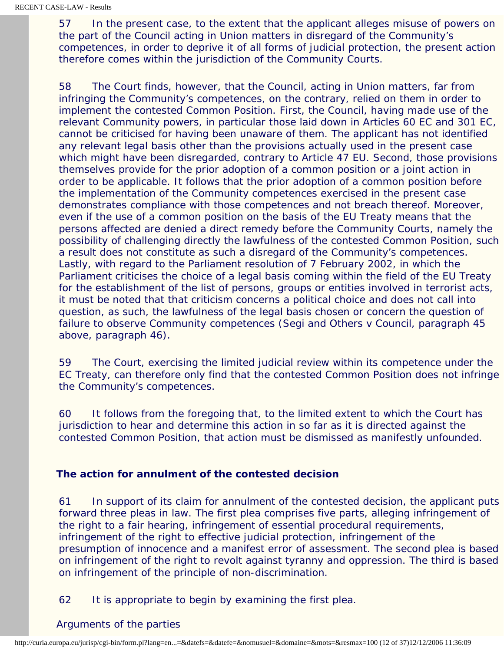57 In the present case, to the extent that the applicant alleges misuse of powers on the part of the Council acting in Union matters in disregard of the Community's competences, in order to deprive it of all forms of judicial protection, the present action therefore comes within the jurisdiction of the Community Courts.

58 The Court finds, however, that the Council, acting in Union matters, far from infringing the Community's competences, on the contrary, relied on them in order to implement the contested Common Position. First, the Council, having made use of the relevant Community powers, in particular those laid down in Articles 60 EC and 301 EC, cannot be criticised for having been unaware of them. The applicant has not identified any relevant legal basis other than the provisions actually used in the present case which might have been disregarded, contrary to Article 47 EU. Second, those provisions themselves provide for the prior adoption of a common position or a joint action in order to be applicable. It follows that the prior adoption of a common position before the implementation of the Community competences exercised in the present case demonstrates compliance with those competences and not breach thereof. Moreover, even if the use of a common position on the basis of the EU Treaty means that the persons affected are denied a direct remedy before the Community Courts, namely the possibility of challenging directly the lawfulness of the contested Common Position, such a result does not constitute as such a disregard of the Community's competences. Lastly, with regard to the Parliament resolution of 7 February 2002, in which the Parliament criticises the choice of a legal basis coming within the field of the EU Treaty for the establishment of the list of persons, groups or entities involved in terrorist acts, it must be noted that that criticism concerns a political choice and does not call into question, as such, the lawfulness of the legal basis chosen or concern the question of failure to observe Community competences (*Segi and Others* v *Council*, paragraph 45 above, paragraph 46).

59 The Court, exercising the limited judicial review within its competence under the EC Treaty, can therefore only find that the contested Common Position does not infringe the Community's competences.

60 It follows from the foregoing that, to the limited extent to which the Court has jurisdiction to hear and determine this action in so far as it is directed against the contested Common Position, that action must be dismissed as manifestly unfounded.

## **The action for annulment of the contested decision**

61 In support of its claim for annulment of the contested decision, the applicant puts forward three pleas in law. The first plea comprises five parts, alleging infringement of the right to a fair hearing, infringement of essential procedural requirements, infringement of the right to effective judicial protection, infringement of the presumption of innocence and a manifest error of assessment. The second plea is based on infringement of the right to revolt against tyranny and oppression. The third is based on infringement of the principle of non-discrimination.

62 It is appropriate to begin by examining the first plea.

#### *Arguments of the parties*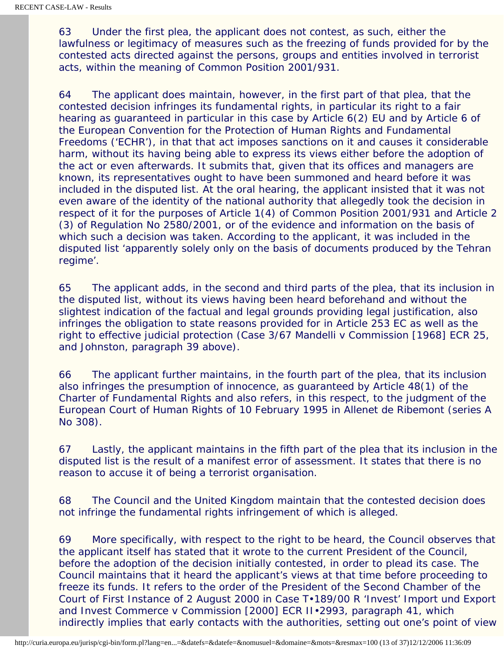63 Under the first plea, the applicant does not contest, as such, either the lawfulness or legitimacy of measures such as the freezing of funds provided for by the contested acts directed against the persons, groups and entities involved in terrorist acts, within the meaning of Common Position 2001/931.

64 The applicant does maintain, however, in the first part of that plea, that the contested decision infringes its fundamental rights, in particular its right to a fair hearing as guaranteed in particular in this case by Article 6(2) EU and by Article 6 of the European Convention for the Protection of Human Rights and Fundamental Freedoms ('ECHR'), in that that act imposes sanctions on it and causes it considerable harm, without its having being able to express its views either before the adoption of the act or even afterwards. It submits that, given that its offices and managers are known, its representatives ought to have been summoned and heard before it was included in the disputed list. At the oral hearing, the applicant insisted that it was not even aware of the identity of the national authority that allegedly took the decision in respect of it for the purposes of Article 1(4) of Common Position 2001/931 and Article 2 (3) of Regulation No 2580/2001, or of the evidence and information on the basis of which such a decision was taken. According to the applicant, it was included in the disputed list 'apparently solely only on the basis of documents produced by the Tehran regime'.

65 The applicant adds, in the second and third parts of the plea, that its inclusion in the disputed list, without its views having been heard beforehand and without the slightest indication of the factual and legal grounds providing legal justification, also infringes the obligation to state reasons provided for in Article 253 EC as well as the right to effective judicial protection (Case 3/67 *Mandelli* v *Commission* [1968] ECR 25, and *Johnston*, paragraph 39 above).

66 The applicant further maintains, in the fourth part of the plea, that its inclusion also infringes the presumption of innocence, as guaranteed by Article 48(1) of the Charter of Fundamental Rights and also refers, in this respect, to the judgment of the European Court of Human Rights of 10 February 1995 in *Allenet de Ribemont* (series A No 308).

67 Lastly, the applicant maintains in the fifth part of the plea that its inclusion in the disputed list is the result of a manifest error of assessment. It states that there is no reason to accuse it of being a terrorist organisation.

68 The Council and the United Kingdom maintain that the contested decision does not infringe the fundamental rights infringement of which is alleged.

69 More specifically, with respect to the right to be heard, the Council observes that the applicant itself has stated that it wrote to the current President of the Council, before the adoption of the decision initially contested, in order to plead its case. The Council maintains that it heard the applicant's views at that time before proceeding to freeze its funds. It refers to the order of the President of the Second Chamber of the Court of First Instance of 2 August 2000 in Case T•189/00 R *'Invest' Import und Export and Invest Commerce* v *Commission* [2000] ECR II•2993, paragraph 41, which indirectly implies that early contacts with the authorities, setting out one's point of view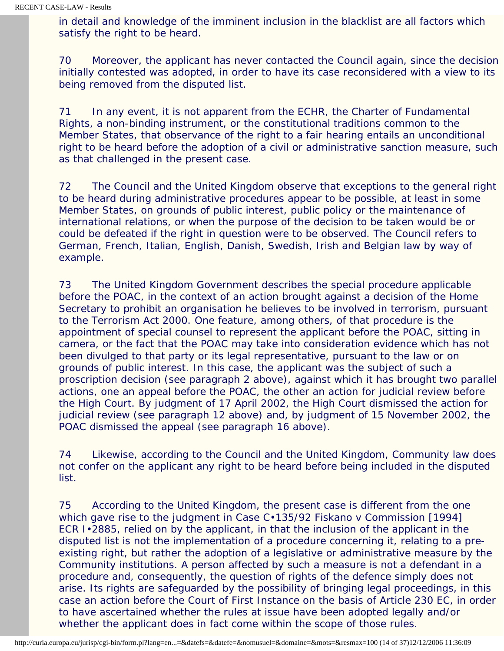in detail and knowledge of the imminent inclusion in the blacklist are all factors which satisfy the right to be heard.

70 Moreover, the applicant has never contacted the Council again, since the decision initially contested was adopted, in order to have its case reconsidered with a view to its being removed from the disputed list.

71 In any event, it is not apparent from the ECHR, the Charter of Fundamental Rights, a non-binding instrument, or the constitutional traditions common to the Member States, that observance of the right to a fair hearing entails an unconditional right to be heard before the adoption of a civil or administrative sanction measure, such as that challenged in the present case.

72 The Council and the United Kingdom observe that exceptions to the general right to be heard during administrative procedures appear to be possible, at least in some Member States, on grounds of public interest, public policy or the maintenance of international relations, or when the purpose of the decision to be taken would be or could be defeated if the right in question were to be observed. The Council refers to German, French, Italian, English, Danish, Swedish, Irish and Belgian law by way of example.

73 The United Kingdom Government describes the special procedure applicable before the POAC, in the context of an action brought against a decision of the Home Secretary to prohibit an organisation he believes to be involved in terrorism, pursuant to the Terrorism Act 2000. One feature, among others, of that procedure is the appointment of special counsel to represent the applicant before the POAC, sitting in camera, or the fact that the POAC may take into consideration evidence which has not been divulged to that party or its legal representative, pursuant to the law or on grounds of public interest. In this case, the applicant was the subject of such a proscription decision (see paragraph 2 above), against which it has brought two parallel actions, one an appeal before the POAC, the other an action for judicial review before the High Court. By judgment of 17 April 2002, the High Court dismissed the action for judicial review (see paragraph 12 above) and, by judgment of 15 November 2002, the POAC dismissed the appeal (see paragraph 16 above).

74 Likewise, according to the Council and the United Kingdom, Community law does not confer on the applicant any right to be heard before being included in the disputed list.

75 According to the United Kingdom, the present case is different from the one which gave rise to the judgment in Case C•135/92 *Fiskano* v *Commission* [1994] ECR I•2885, relied on by the applicant, in that the inclusion of the applicant in the disputed list is not the implementation of a procedure concerning it, relating to a preexisting right, but rather the adoption of a legislative or administrative measure by the Community institutions. A person affected by such a measure is not a defendant in a procedure and, consequently, the question of rights of the defence simply does not arise. Its rights are safeguarded by the possibility of bringing legal proceedings, in this case an action before the Court of First Instance on the basis of Article 230 EC, in order to have ascertained whether the rules at issue have been adopted legally and/or whether the applicant does in fact come within the scope of those rules.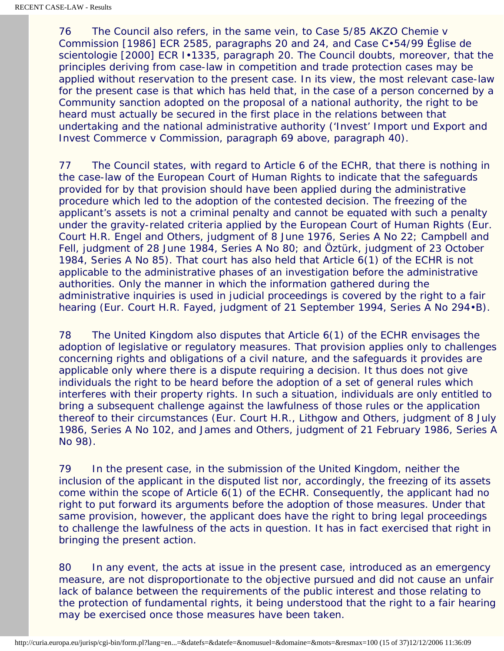76 The Council also refers, in the same vein, to Case 5/85 *AKZO Chemie* v *Commission* [1986] ECR 2585, paragraphs 20 and 24, and Case C•54/99 *Église de scientologie* [2000] ECR I•1335, paragraph 20. The Council doubts, moreover, that the principles deriving from case-law in competition and trade protection cases may be applied without reservation to the present case. In its view, the most relevant case-law for the present case is that which has held that, in the case of a person concerned by a Community sanction adopted on the proposal of a national authority, the right to be heard must actually be secured in the first place in the relations between that undertaking and the national administrative authority (*'Invest' Import und Export and Invest Commerce* v *Commission*, paragraph 69 above, paragraph 40).

77 The Council states, with regard to Article 6 of the ECHR, that there is nothing in the case-law of the European Court of Human Rights to indicate that the safeguards provided for by that provision should have been applied during the administrative procedure which led to the adoption of the contested decision. The freezing of the applicant's assets is not a criminal penalty and cannot be equated with such a penalty under the gravity-related criteria applied by the European Court of Human Rights (Eur. Court H.R. *Engel and Others*, judgment of 8 June 1976, Series A No 22; *Campbell and Fell*, judgment of 28 June 1984, Series A No 80; and *Öztürk*, judgment of 23 October 1984, Series A No 85). That court has also held that Article 6(1) of the ECHR is not applicable to the administrative phases of an investigation before the administrative authorities. Only the manner in which the information gathered during the administrative inquiries is used in judicial proceedings is covered by the right to a fair hearing (Eur. Court H.R. *Fayed*, judgment of 21 September 1994, Series A No 294•B).

78 The United Kingdom also disputes that Article 6(1) of the ECHR envisages the adoption of legislative or regulatory measures. That provision applies only to challenges concerning rights and obligations of a civil nature, and the safeguards it provides are applicable only where there is a dispute requiring a decision. It thus does not give individuals the right to be heard before the adoption of a set of general rules which interferes with their property rights. In such a situation, individuals are only entitled to bring a subsequent challenge against the lawfulness of those rules or the application thereof to their circumstances (Eur. Court H.R., *Lithgow and Others*, judgment of 8 July 1986, Series A No 102, and *James and Others*, judgment of 21 February 1986, Series A No 98).

79 In the present case, in the submission of the United Kingdom, neither the inclusion of the applicant in the disputed list nor, accordingly, the freezing of its assets come within the scope of Article 6(1) of the ECHR. Consequently, the applicant had no right to put forward its arguments before the adoption of those measures. Under that same provision, however, the applicant does have the right to bring legal proceedings to challenge the lawfulness of the acts in question. It has in fact exercised that right in bringing the present action.

80 In any event, the acts at issue in the present case, introduced as an emergency measure, are not disproportionate to the objective pursued and did not cause an unfair lack of balance between the requirements of the public interest and those relating to the protection of fundamental rights, it being understood that the right to a fair hearing may be exercised once those measures have been taken.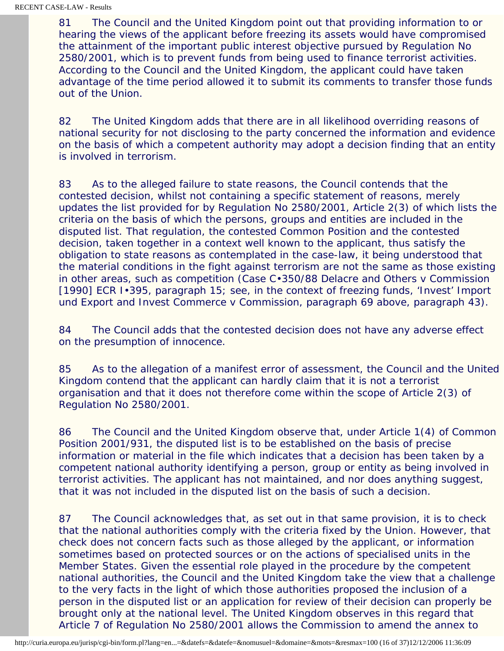81 The Council and the United Kingdom point out that providing information to or hearing the views of the applicant before freezing its assets would have compromised the attainment of the important public interest objective pursued by Regulation No 2580/2001, which is to prevent funds from being used to finance terrorist activities. According to the Council and the United Kingdom, the applicant could have taken advantage of the time period allowed it to submit its comments to transfer those funds out of the Union.

82 The United Kingdom adds that there are in all likelihood overriding reasons of national security for not disclosing to the party concerned the information and evidence on the basis of which a competent authority may adopt a decision finding that an entity is involved in terrorism.

83 As to the alleged failure to state reasons, the Council contends that the contested decision, whilst not containing a specific statement of reasons, merely updates the list provided for by Regulation No 2580/2001, Article 2(3) of which lists the criteria on the basis of which the persons, groups and entities are included in the disputed list. That regulation, the contested Common Position and the contested decision, taken together in a context well known to the applicant, thus satisfy the obligation to state reasons as contemplated in the case-law, it being understood that the material conditions in the fight against terrorism are not the same as those existing in other areas, such as competition (Case C•350/88 *Delacre and Others* v *Commission* [1990] ECR I•395, paragraph 15; see, in the context of freezing funds, *'Invest' Import und Export and Invest Commerce* v *Commission*, paragraph 69 above, paragraph 43).

84 The Council adds that the contested decision does not have any adverse effect on the presumption of innocence.

85 As to the allegation of a manifest error of assessment, the Council and the United Kingdom contend that the applicant can hardly claim that it is not a terrorist organisation and that it does not therefore come within the scope of Article 2(3) of Regulation No 2580/2001.

86 The Council and the United Kingdom observe that, under Article 1(4) of Common Position 2001/931, the disputed list is to be established on the basis of precise information or material in the file which indicates that a decision has been taken by a competent national authority identifying a person, group or entity as being involved in terrorist activities. The applicant has not maintained, and nor does anything suggest, that it was not included in the disputed list on the basis of such a decision.

87 The Council acknowledges that, as set out in that same provision, it is to check that the national authorities comply with the criteria fixed by the Union. However, that check does not concern facts such as those alleged by the applicant, or information sometimes based on protected sources or on the actions of specialised units in the Member States. Given the essential role played in the procedure by the competent national authorities, the Council and the United Kingdom take the view that a challenge to the very facts in the light of which those authorities proposed the inclusion of a person in the disputed list or an application for review of their decision can properly be brought only at the national level. The United Kingdom observes in this regard that Article 7 of Regulation No 2580/2001 allows the Commission to amend the annex to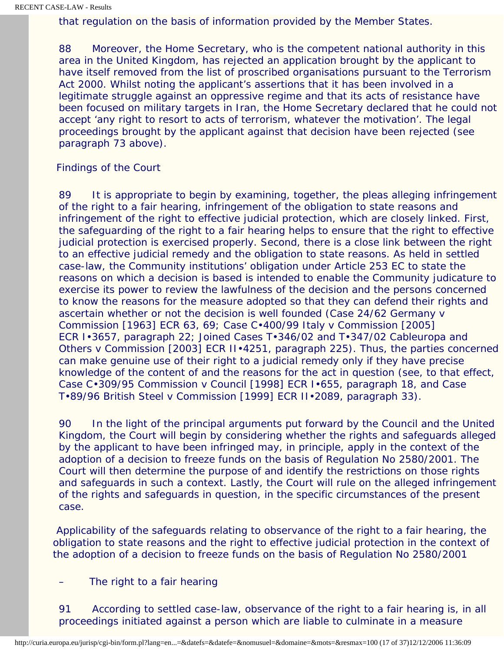that regulation on the basis of information provided by the Member States.

88 Moreover, the Home Secretary, who is the competent national authority in this area in the United Kingdom, has rejected an application brought by the applicant to have itself removed from the list of proscribed organisations pursuant to the Terrorism Act 2000. Whilst noting the applicant's assertions that it has been involved in a legitimate struggle against an oppressive regime and that its acts of resistance have been focused on military targets in Iran, the Home Secretary declared that he could not accept 'any right to resort to acts of terrorism, whatever the motivation'. The legal proceedings brought by the applicant against that decision have been rejected (see paragraph 73 above).

#### *Findings of the Court*

89 It is appropriate to begin by examining, together, the pleas alleging infringement of the right to a fair hearing, infringement of the obligation to state reasons and infringement of the right to effective judicial protection, which are closely linked. First, the safeguarding of the right to a fair hearing helps to ensure that the right to effective judicial protection is exercised properly. Second, there is a close link between the right to an effective judicial remedy and the obligation to state reasons. As held in settled case-law, the Community institutions' obligation under Article 253 EC to state the reasons on which a decision is based is intended to enable the Community judicature to exercise its power to review the lawfulness of the decision and the persons concerned to know the reasons for the measure adopted so that they can defend their rights and ascertain whether or not the decision is well founded (Case 24/62 *Germany* v *Commission* [1963] ECR 63, 69; Case C•400/99 *Italy* v *Commission* [2005] ECR I•3657, paragraph 22; Joined Cases T•346/02 and T•347/02 *Cableuropa and Others* v *Commission* [2003] ECR II•4251, paragraph 225). Thus, the parties concerned can make genuine use of their right to a judicial remedy only if they have precise knowledge of the content of and the reasons for the act in question (see, to that effect, Case C•309/95 *Commission* v *Council* [1998] ECR I•655, paragraph 18, and Case T•89/96 *British Steel* v *Commission* [1999] ECR II•2089, paragraph 33).

90 In the light of the principal arguments put forward by the Council and the United Kingdom, the Court will begin by considering whether the rights and safeguards alleged by the applicant to have been infringed may, in principle, apply in the context of the adoption of a decision to freeze funds on the basis of Regulation No 2580/2001. The Court will then determine the purpose of and identify the restrictions on those rights and safeguards in such a context. Lastly, the Court will rule on the alleged infringement of the rights and safeguards in question, in the specific circumstances of the present case.

 Applicability of the safeguards relating to observance of the right to a fair hearing, the obligation to state reasons and the right to effective judicial protection in the context of the adoption of a decision to freeze funds on the basis of Regulation No 2580/2001

#### The right to a fair hearing

91 According to settled case-law, observance of the right to a fair hearing is, in all proceedings initiated against a person which are liable to culminate in a measure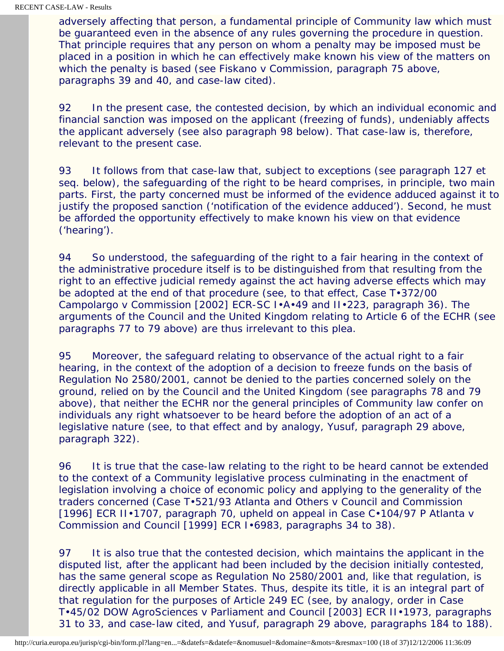adversely affecting that person, a fundamental principle of Community law which must be guaranteed even in the absence of any rules governing the procedure in question. That principle requires that any person on whom a penalty may be imposed must be placed in a position in which he can effectively make known his view of the matters on which the penalty is based (see *Fiskano* v *Commission*, paragraph 75 above, paragraphs 39 and 40, and case-law cited).

92 In the present case, the contested decision, by which an individual economic and financial sanction was imposed on the applicant (freezing of funds), undeniably affects the applicant adversely (see also paragraph 98 below). That case-law is, therefore, relevant to the present case.

93 It follows from that case-law that, subject to exceptions (see paragraph 127 et seq. below), the safeguarding of the right to be heard comprises, in principle, two main parts. First, the party concerned must be informed of the evidence adduced against it to justify the proposed sanction ('notification of the evidence adduced'). Second, he must be afforded the opportunity effectively to make known his view on that evidence ('hearing').

94 So understood, the safeguarding of the right to a fair hearing in the context of the administrative procedure itself is to be distinguished from that resulting from the right to an effective judicial remedy against the act having adverse effects which may be adopted at the end of that procedure (see, to that effect, Case T•372/00 *Campolargo* v *Commission* [2002] ECR-SC I•A•49 and II•223, paragraph 36). The arguments of the Council and the United Kingdom relating to Article 6 of the ECHR (see paragraphs 77 to 79 above) are thus irrelevant to this plea.

95 Moreover, the safeguard relating to observance of the actual right to a fair hearing, in the context of the adoption of a decision to freeze funds on the basis of Regulation No 2580/2001, cannot be denied to the parties concerned solely on the ground, relied on by the Council and the United Kingdom (see paragraphs 78 and 79 above), that neither the ECHR nor the general principles of Community law confer on individuals any right whatsoever to be heard before the adoption of an act of a legislative nature (see, to that effect and by analogy, *Yusuf*, paragraph 29 above, paragraph 322).

96 It is true that the case-law relating to the right to be heard cannot be extended to the context of a Community legislative process culminating in the enactment of legislation involving a choice of economic policy and applying to the generality of the traders concerned (Case T•521/93 *Atlanta and Others* v *Council and Commission* [1996] ECR II•1707, paragraph 70, upheld on appeal in Case C•104/97 P *Atlanta* v *Commission and Council* [1999] ECR I•6983, paragraphs 34 to 38).

97 It is also true that the contested decision, which maintains the applicant in the disputed list, after the applicant had been included by the decision initially contested, has the same general scope as Regulation No 2580/2001 and, like that regulation, is directly applicable in all Member States. Thus, despite its title, it is an integral part of that regulation for the purposes of Article 249 EC (see, by analogy, order in Case T•45/02 *DOW AgroSciences* v *Parliament and Council* [2003] ECR II•1973, paragraphs 31 to 33, and case-law cited, and *Yusuf*, paragraph 29 above, paragraphs 184 to 188).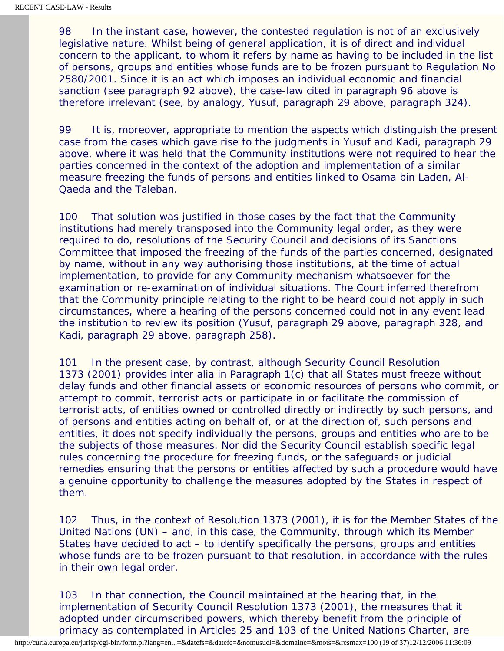98 In the instant case, however, the contested regulation is not of an exclusively legislative nature. Whilst being of general application, it is of direct and individual concern to the applicant, to whom it refers by name as having to be included in the list of persons, groups and entities whose funds are to be frozen pursuant to Regulation No 2580/2001. Since it is an act which imposes an individual economic and financial sanction (see paragraph 92 above), the case-law cited in paragraph 96 above is therefore irrelevant (see, by analogy, *Yusuf*, paragraph 29 above, paragraph 324).

99 It is, moreover, appropriate to mention the aspects which distinguish the present case from the cases which gave rise to the judgments in *Yusuf* and *Kadi*, paragraph 29 above, where it was held that the Community institutions were not required to hear the parties concerned in the context of the adoption and implementation of a similar measure freezing the funds of persons and entities linked to Osama bin Laden, Al-Qaeda and the Taleban.

100 That solution was justified in those cases by the fact that the Community institutions had merely transposed into the Community legal order, as they were required to do, resolutions of the Security Council and decisions of its Sanctions Committee that imposed the freezing of the funds of the parties concerned, designated by name, without in any way authorising those institutions, at the time of actual implementation, to provide for any Community mechanism whatsoever for the examination or re-examination of individual situations. The Court inferred therefrom that the Community principle relating to the right to be heard could not apply in such circumstances, where a hearing of the persons concerned could not in any event lead the institution to review its position (*Yusuf*, paragraph 29 above, paragraph 328, and *Kadi*, paragraph 29 above, paragraph 258).

101 In the present case, by contrast, although Security Council Resolution 1373 (2001) provides inter alia in Paragraph 1(c) that all States must freeze without delay funds and other financial assets or economic resources of persons who commit, or attempt to commit, terrorist acts or participate in or facilitate the commission of terrorist acts, of entities owned or controlled directly or indirectly by such persons, and of persons and entities acting on behalf of, or at the direction of, such persons and entities, it does not specify individually the persons, groups and entities who are to be the subjects of those measures. Nor did the Security Council establish specific legal rules concerning the procedure for freezing funds, or the safeguards or judicial remedies ensuring that the persons or entities affected by such a procedure would have a genuine opportunity to challenge the measures adopted by the States in respect of them.

102 Thus, in the context of Resolution 1373 (2001), it is for the Member States of the United Nations (UN) – and, in this case, the Community, through which its Member States have decided to act – to identify specifically the persons, groups and entities whose funds are to be frozen pursuant to that resolution, in accordance with the rules in their own legal order.

103 In that connection, the Council maintained at the hearing that, in the implementation of Security Council Resolution 1373 (2001), the measures that it adopted under circumscribed powers, which thereby benefit from the principle of primacy as contemplated in Articles 25 and 103 of the United Nations Charter, are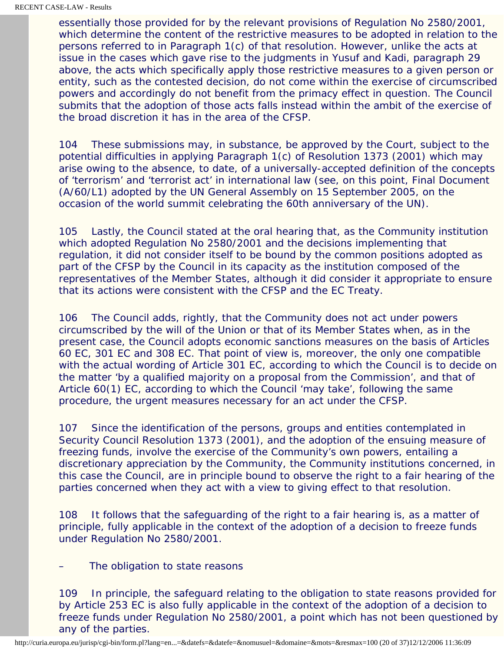essentially those provided for by the relevant provisions of Regulation No 2580/2001, which determine the content of the restrictive measures to be adopted in relation to the persons referred to in Paragraph 1(c) of that resolution. However, unlike the acts at issue in the cases which gave rise to the judgments in *Yusuf* and *Kadi*, paragraph 29 above, the acts which specifically apply those restrictive measures to a given person or entity, such as the contested decision, do not come within the exercise of circumscribed powers and accordingly do not benefit from the primacy effect in question. The Council submits that the adoption of those acts falls instead within the ambit of the exercise of the broad discretion it has in the area of the CFSP.

104 These submissions may, in substance, be approved by the Court, subject to the potential difficulties in applying Paragraph 1(c) of Resolution 1373 (2001) which may arise owing to the absence, to date, of a universally-accepted definition of the concepts of 'terrorism' and 'terrorist act' in international law (see, on this point, Final Document (A/60/L1) adopted by the UN General Assembly on 15 September 2005, on the occasion of the world summit celebrating the 60th anniversary of the UN).

105 Lastly, the Council stated at the oral hearing that, as the Community institution which adopted Regulation No 2580/2001 and the decisions implementing that regulation, it did not consider itself to be bound by the common positions adopted as part of the CFSP by the Council in its capacity as the institution composed of the representatives of the Member States, although it did consider it appropriate to ensure that its actions were consistent with the CFSP and the EC Treaty.

106 The Council adds, rightly, that the Community does not act under powers circumscribed by the will of the Union or that of its Member States when, as in the present case, the Council adopts economic sanctions measures on the basis of Articles 60 EC, 301 EC and 308 EC. That point of view is, moreover, the only one compatible with the actual wording of Article 301 EC, according to which the Council is to decide on the matter 'by a qualified majority on a proposal from the Commission', and that of Article 60(1) EC, according to which the Council 'may take', following the same procedure, the urgent measures necessary for an act under the CFSP.

107 Since the identification of the persons, groups and entities contemplated in Security Council Resolution 1373 (2001), and the adoption of the ensuing measure of freezing funds, involve the exercise of the Community's own powers, entailing a discretionary appreciation by the Community, the Community institutions concerned, in this case the Council, are in principle bound to observe the right to a fair hearing of the parties concerned when they act with a view to giving effect to that resolution.

108 It follows that the safeguarding of the right to a fair hearing is, as a matter of principle, fully applicable in the context of the adoption of a decision to freeze funds under Regulation No 2580/2001.

The obligation to state reasons

109 In principle, the safeguard relating to the obligation to state reasons provided for by Article 253 EC is also fully applicable in the context of the adoption of a decision to freeze funds under Regulation No 2580/2001, a point which has not been questioned by any of the parties.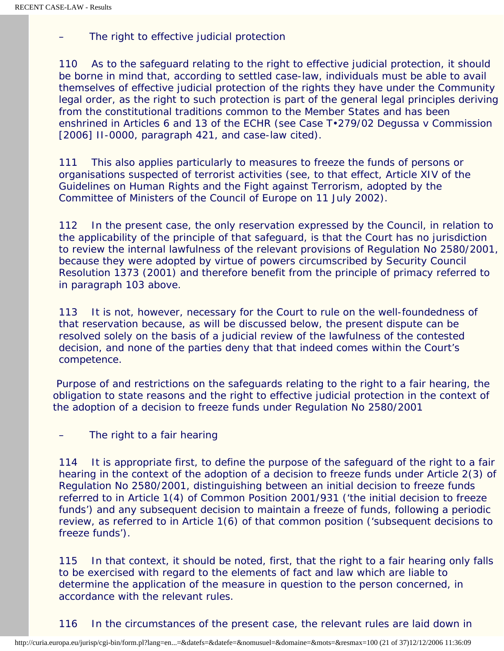The right to effective judicial protection

110 As to the safeguard relating to the right to effective judicial protection, it should be borne in mind that, according to settled case-law, individuals must be able to avail themselves of effective judicial protection of the rights they have under the Community legal order, as the right to such protection is part of the general legal principles deriving from the constitutional traditions common to the Member States and has been enshrined in Articles 6 and 13 of the ECHR (see Case T•279/02 *Degussa* v *Commission* [2006] II-0000, paragraph 421, and case-law cited).

111 This also applies particularly to measures to freeze the funds of persons or organisations suspected of terrorist activities (see, to that effect, Article XIV of the Guidelines on Human Rights and the Fight against Terrorism, adopted by the Committee of Ministers of the Council of Europe on 11 July 2002).

112 In the present case, the only reservation expressed by the Council, in relation to the applicability of the principle of that safeguard, is that the Court has no jurisdiction to review the internal lawfulness of the relevant provisions of Regulation No 2580/2001, because they were adopted by virtue of powers circumscribed by Security Council Resolution 1373 (2001) and therefore benefit from the principle of primacy referred to in paragraph 103 above.

113 It is not, however, necessary for the Court to rule on the well-foundedness of that reservation because, as will be discussed below, the present dispute can be resolved solely on the basis of a judicial review of the lawfulness of the contested decision, and none of the parties deny that that indeed comes within the Court's competence.

 Purpose of and restrictions on the safeguards relating to the right to a fair hearing, the obligation to state reasons and the right to effective judicial protection in the context of the adoption of a decision to freeze funds under Regulation No 2580/2001

The right to a fair hearing

114 It is appropriate first, to define the purpose of the safeguard of the right to a fair hearing in the context of the adoption of a decision to freeze funds under Article 2(3) of Regulation No 2580/2001, distinguishing between an initial decision to freeze funds referred to in Article 1(4) of Common Position 2001/931 ('the initial decision to freeze funds') and any subsequent decision to maintain a freeze of funds, following a periodic review, as referred to in Article 1(6) of that common position ('subsequent decisions to freeze funds').

115 In that context, it should be noted, first, that the right to a fair hearing only falls to be exercised with regard to the elements of fact and law which are liable to determine the application of the measure in question to the person concerned, in accordance with the relevant rules.

116 In the circumstances of the present case, the relevant rules are laid down in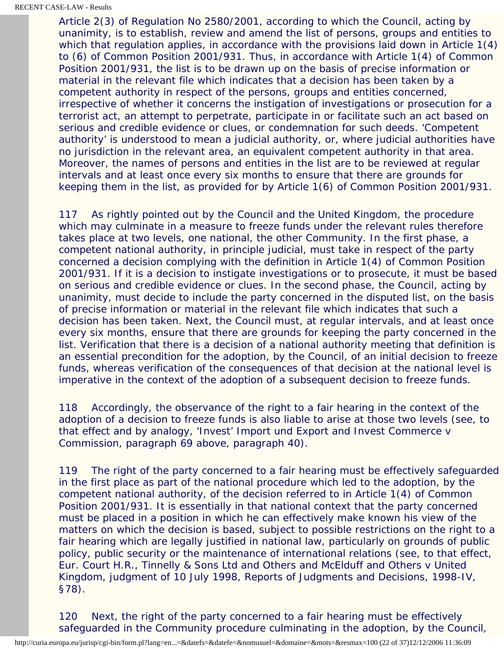Article 2(3) of Regulation No 2580/2001, according to which the Council, acting by unanimity, is to establish, review and amend the list of persons, groups and entities to which that regulation applies, in accordance with the provisions laid down in Article 1(4) to (6) of Common Position 2001/931. Thus, in accordance with Article 1(4) of Common Position 2001/931, the list is to be drawn up on the basis of precise information or material in the relevant file which indicates that a decision has been taken by a competent authority in respect of the persons, groups and entities concerned, irrespective of whether it concerns the instigation of investigations or prosecution for a terrorist act, an attempt to perpetrate, participate in or facilitate such an act based on serious and credible evidence or clues, or condemnation for such deeds. 'Competent authority' is understood to mean a judicial authority, or, where judicial authorities have no jurisdiction in the relevant area, an equivalent competent authority in that area. Moreover, the names of persons and entities in the list are to be reviewed at regular intervals and at least once every six months to ensure that there are grounds for keeping them in the list, as provided for by Article 1(6) of Common Position 2001/931.

117 As rightly pointed out by the Council and the United Kingdom, the procedure which may culminate in a measure to freeze funds under the relevant rules therefore takes place at two levels, one national, the other Community. In the first phase, a competent national authority, in principle judicial, must take in respect of the party concerned a decision complying with the definition in Article 1(4) of Common Position 2001/931. If it is a decision to instigate investigations or to prosecute, it must be based on serious and credible evidence or clues. In the second phase, the Council, acting by unanimity, must decide to include the party concerned in the disputed list, on the basis of precise information or material in the relevant file which indicates that such a decision has been taken. Next, the Council must, at regular intervals, and at least once every six months, ensure that there are grounds for keeping the party concerned in the list. Verification that there is a decision of a national authority meeting that definition is an essential precondition for the adoption, by the Council, of an initial decision to freeze funds, whereas verification of the consequences of that decision at the national level is imperative in the context of the adoption of a subsequent decision to freeze funds.

118 Accordingly, the observance of the right to a fair hearing in the context of the adoption of a decision to freeze funds is also liable to arise at those two levels (see, to that effect and by analogy, *'Invest' Import und Export and Invest Commerce* v *Commission*, paragraph 69 above, paragraph 40).

119 The right of the party concerned to a fair hearing must be effectively safeguarded in the first place as part of the national procedure which led to the adoption, by the competent national authority, of the decision referred to in Article 1(4) of Common Position 2001/931. It is essentially in that national context that the party concerned must be placed in a position in which he can effectively make known his view of the matters on which the decision is based, subject to possible restrictions on the right to a fair hearing which are legally justified in national law, particularly on grounds of public policy, public security or the maintenance of international relations (see, to that effect, Eur. Court H.R., *Tinnelly & Sons Ltd and Others and McElduff and Others* v *United Kingdom*, judgment of 10 July 1998, Reports of Judgments and Decisions*,* 1998-IV, §78).

120 Next, the right of the party concerned to a fair hearing must be effectively safeguarded in the Community procedure culminating in the adoption, by the Council,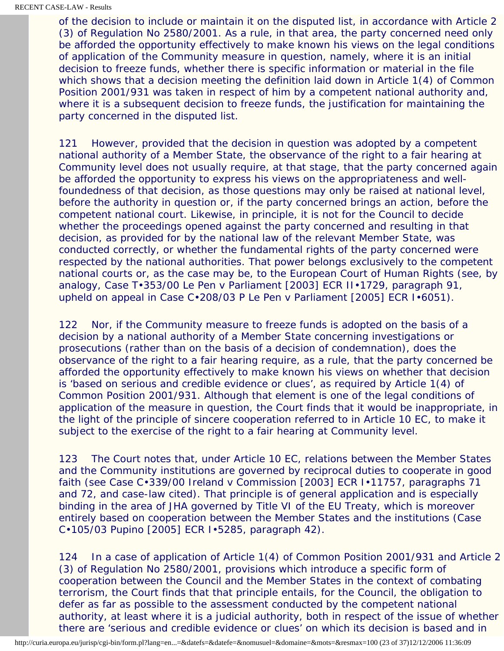of the decision to include or maintain it on the disputed list, in accordance with Article 2 (3) of Regulation No 2580/2001. As a rule, in that area, the party concerned need only be afforded the opportunity effectively to make known his views on the legal conditions of application of the Community measure in question, namely, where it is an initial decision to freeze funds, whether there is specific information or material in the file which shows that a decision meeting the definition laid down in Article 1(4) of Common Position 2001/931 was taken in respect of him by a competent national authority and, where it is a subsequent decision to freeze funds, the justification for maintaining the party concerned in the disputed list.

121 However, provided that the decision in question was adopted by a competent national authority of a Member State, the observance of the right to a fair hearing at Community level does not usually require, at that stage, that the party concerned again be afforded the opportunity to express his views on the appropriateness and wellfoundedness of that decision, as those questions may only be raised at national level, before the authority in question or, if the party concerned brings an action, before the competent national court. Likewise, in principle, it is not for the Council to decide whether the proceedings opened against the party concerned and resulting in that decision, as provided for by the national law of the relevant Member State, was conducted correctly, or whether the fundamental rights of the party concerned were respected by the national authorities. That power belongs exclusively to the competent national courts or, as the case may be, to the European Court of Human Rights (see, by analogy, Case T•353/00 *Le Pen* v *Parliament* [2003] ECR II•1729, paragraph 91, upheld on appeal in Case C•208/03 P *Le Pen* v *Parliament* [2005] ECR I•6051).

122 Nor, if the Community measure to freeze funds is adopted on the basis of a decision by a national authority of a Member State concerning investigations or prosecutions (rather than on the basis of a decision of condemnation), does the observance of the right to a fair hearing require, as a rule, that the party concerned be afforded the opportunity effectively to make known his views on whether that decision is 'based on serious and credible evidence or clues', as required by Article 1(4) of Common Position 2001/931. Although that element is one of the legal conditions of application of the measure in question, the Court finds that it would be inappropriate, in the light of the principle of sincere cooperation referred to in Article 10 EC, to make it subject to the exercise of the right to a fair hearing at Community level.

123 The Court notes that, under Article 10 EC, relations between the Member States and the Community institutions are governed by reciprocal duties to cooperate in good faith (see Case C•339/00 *Ireland* v *Commission* [2003] ECR I•11757, paragraphs 71 and 72, and case-law cited). That principle is of general application and is especially binding in the area of JHA governed by Title VI of the EU Treaty, which is moreover entirely based on cooperation between the Member States and the institutions (Case C•105/03 *Pupino* [2005] ECR I•5285, paragraph 42).

124 In a case of application of Article 1(4) of Common Position 2001/931 and Article 2 (3) of Regulation No 2580/2001, provisions which introduce a specific form of cooperation between the Council and the Member States in the context of combating terrorism, the Court finds that that principle entails, for the Council, the obligation to defer as far as possible to the assessment conducted by the competent national authority, at least where it is a judicial authority, both in respect of the issue of whether there are 'serious and credible evidence or clues' on which its decision is based and in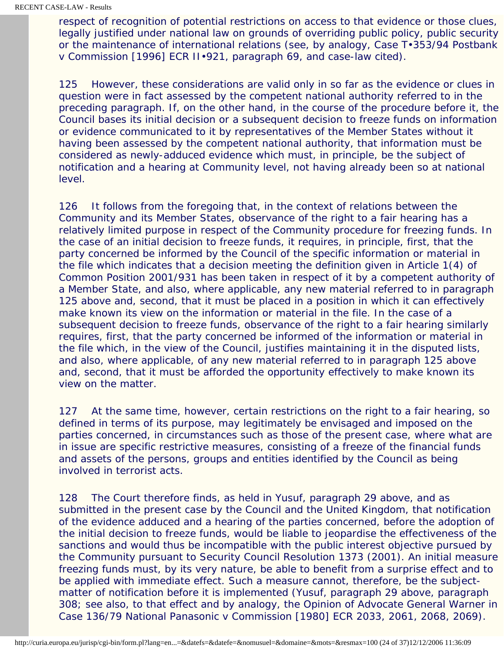respect of recognition of potential restrictions on access to that evidence or those clues, legally justified under national law on grounds of overriding public policy, public security or the maintenance of international relations (see, by analogy, Case T•353/94 *Postbank* v *Commission* [1996] ECR II•921, paragraph 69, and case-law cited).

125 However, these considerations are valid only in so far as the evidence or clues in question were in fact assessed by the competent national authority referred to in the preceding paragraph. If, on the other hand, in the course of the procedure before it, the Council bases its initial decision or a subsequent decision to freeze funds on information or evidence communicated to it by representatives of the Member States without it having been assessed by the competent national authority, that information must be considered as newly-adduced evidence which must, in principle, be the subject of notification and a hearing at Community level, not having already been so at national level.

126 It follows from the foregoing that, in the context of relations between the Community and its Member States, observance of the right to a fair hearing has a relatively limited purpose in respect of the Community procedure for freezing funds. In the case of an initial decision to freeze funds, it requires, in principle, first, that the party concerned be informed by the Council of the specific information or material in the file which indicates that a decision meeting the definition given in Article 1(4) of Common Position 2001/931 has been taken in respect of it by a competent authority of a Member State, and also, where applicable, any new material referred to in paragraph 125 above and, second, that it must be placed in a position in which it can effectively make known its view on the information or material in the file. In the case of a subsequent decision to freeze funds, observance of the right to a fair hearing similarly requires, first, that the party concerned be informed of the information or material in the file which, in the view of the Council, justifies maintaining it in the disputed lists, and also, where applicable, of any new material referred to in paragraph 125 above and, second, that it must be afforded the opportunity effectively to make known its view on the matter.

127 At the same time, however, certain restrictions on the right to a fair hearing, so defined in terms of its purpose, may legitimately be envisaged and imposed on the parties concerned, in circumstances such as those of the present case, where what are in issue are specific restrictive measures, consisting of a freeze of the financial funds and assets of the persons, groups and entities identified by the Council as being involved in terrorist acts.

128 The Court therefore finds, as held in *Yusuf*, paragraph 29 above, and as submitted in the present case by the Council and the United Kingdom, that notification of the evidence adduced and a hearing of the parties concerned, before the adoption of the initial decision to freeze funds, would be liable to jeopardise the effectiveness of the sanctions and would thus be incompatible with the public interest objective pursued by the Community pursuant to Security Council Resolution 1373 (2001). An initial measure freezing funds must, by its very nature, be able to benefit from a surprise effect and to be applied with immediate effect. Such a measure cannot, therefore, be the subjectmatter of notification before it is implemented (*Yusuf*, paragraph 29 above, paragraph 308; see also, to that effect and by analogy, the Opinion of Advocate General Warner in Case 136/79 *National Panasonic* v *Commission* [1980] ECR 2033, 2061, 2068, 2069).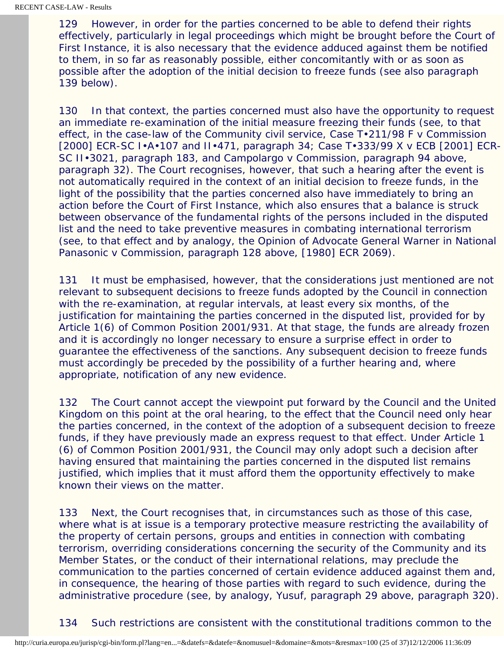129 However, in order for the parties concerned to be able to defend their rights effectively, particularly in legal proceedings which might be brought before the Court of First Instance, it is also necessary that the evidence adduced against them be notified to them, in so far as reasonably possible, either concomitantly with or as soon as possible after the adoption of the initial decision to freeze funds (see also paragraph 139 below).

130 In that context, the parties concerned must also have the opportunity to request an immediate re-examination of the initial measure freezing their funds (see, to that effect, in the case-law of the Community civil service, Case T•211/98 *F* v *Commission* [2000] ECR-SC I•A•107 and II•471, paragraph 34; Case T•333/99 *X* v *ECB* [2001] ECR-SC II•3021, paragraph 183, and *Campolargo* v *Commission*, paragraph 94 above, paragraph 32). The Court recognises, however, that such a hearing after the event is not automatically required in the context of an initial decision to freeze funds, in the light of the possibility that the parties concerned also have immediately to bring an action before the Court of First Instance, which also ensures that a balance is struck between observance of the fundamental rights of the persons included in the disputed list and the need to take preventive measures in combating international terrorism (see, to that effect and by analogy, the Opinion of Advocate General Warner in *National Panasonic* v *Commission*, paragraph 128 above, [1980] ECR 2069).

131 It must be emphasised, however, that the considerations just mentioned are not relevant to subsequent decisions to freeze funds adopted by the Council in connection with the re-examination, at regular intervals, at least every six months, of the justification for maintaining the parties concerned in the disputed list, provided for by Article 1(6) of Common Position 2001/931. At that stage, the funds are already frozen and it is accordingly no longer necessary to ensure a surprise effect in order to guarantee the effectiveness of the sanctions. Any subsequent decision to freeze funds must accordingly be preceded by the possibility of a further hearing and, where appropriate, notification of any new evidence.

132 The Court cannot accept the viewpoint put forward by the Council and the United Kingdom on this point at the oral hearing, to the effect that the Council need only hear the parties concerned, in the context of the adoption of a subsequent decision to freeze funds, if they have previously made an express request to that effect. Under Article 1 (6) of Common Position 2001/931, the Council may only adopt such a decision after having ensured that maintaining the parties concerned in the disputed list remains justified, which implies that it must afford them the opportunity effectively to make known their views on the matter.

133 Next, the Court recognises that, in circumstances such as those of this case, where what is at issue is a temporary protective measure restricting the availability of the property of certain persons, groups and entities in connection with combating terrorism, overriding considerations concerning the security of the Community and its Member States, or the conduct of their international relations, may preclude the communication to the parties concerned of certain evidence adduced against them and, in consequence, the hearing of those parties with regard to such evidence, during the administrative procedure (see, by analogy, *Yusuf*, paragraph 29 above, paragraph 320).

134 Such restrictions are consistent with the constitutional traditions common to the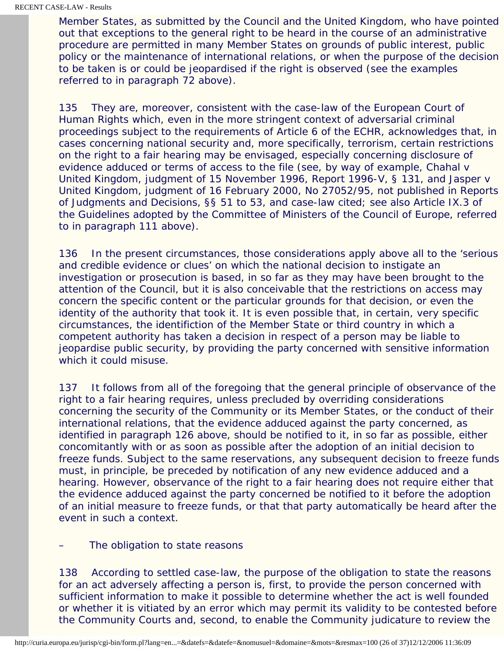Member States, as submitted by the Council and the United Kingdom, who have pointed out that exceptions to the general right to be heard in the course of an administrative procedure are permitted in many Member States on grounds of public interest, public policy or the maintenance of international relations, or when the purpose of the decision to be taken is or could be jeopardised if the right is observed (see the examples referred to in paragraph 72 above).

135 They are, moreover, consistent with the case-law of the European Court of Human Rights which, even in the more stringent context of adversarial criminal proceedings subject to the requirements of Article 6 of the ECHR, acknowledges that, in cases concerning national security and, more specifically, terrorism, certain restrictions on the right to a fair hearing may be envisaged, especially concerning disclosure of evidence adduced or terms of access to the file (see, by way of example, *Chahal* v *United Kingdom*, judgment of 15 November 1996, Report 1996-V, § 131, and *Jasper* v *United Kingdom*, judgment of 16 February 2000, No 27052/95, not published in Reports of Judgments and Decisions*,* §§ 51 to 53, and case-law cited; see also Article IX.3 of the Guidelines adopted by the Committee of Ministers of the Council of Europe, referred to in paragraph 111 above).

136 In the present circumstances, those considerations apply above all to the 'serious and credible evidence or clues' on which the national decision to instigate an investigation or prosecution is based, in so far as they may have been brought to the attention of the Council, but it is also conceivable that the restrictions on access may concern the specific content or the particular grounds for that decision, or even the identity of the authority that took it. It is even possible that, in certain, very specific circumstances, the identifiction of the Member State or third country in which a competent authority has taken a decision in respect of a person may be liable to jeopardise public security, by providing the party concerned with sensitive information which it could misuse.

137 It follows from all of the foregoing that the general principle of observance of the right to a fair hearing requires, unless precluded by overriding considerations concerning the security of the Community or its Member States, or the conduct of their international relations, that the evidence adduced against the party concerned, as identified in paragraph 126 above, should be notified to it, in so far as possible, either concomitantly with or as soon as possible after the adoption of an initial decision to freeze funds. Subject to the same reservations, any subsequent decision to freeze funds must, in principle, be preceded by notification of any new evidence adduced and a hearing. However, observance of the right to a fair hearing does not require either that the evidence adduced against the party concerned be notified to it before the adoption of an initial measure to freeze funds, or that that party automatically be heard after the event in such a context.

The obligation to state reasons

138 According to settled case-law, the purpose of the obligation to state the reasons for an act adversely affecting a person is, first, to provide the person concerned with sufficient information to make it possible to determine whether the act is well founded or whether it is vitiated by an error which may permit its validity to be contested before the Community Courts and, second, to enable the Community judicature to review the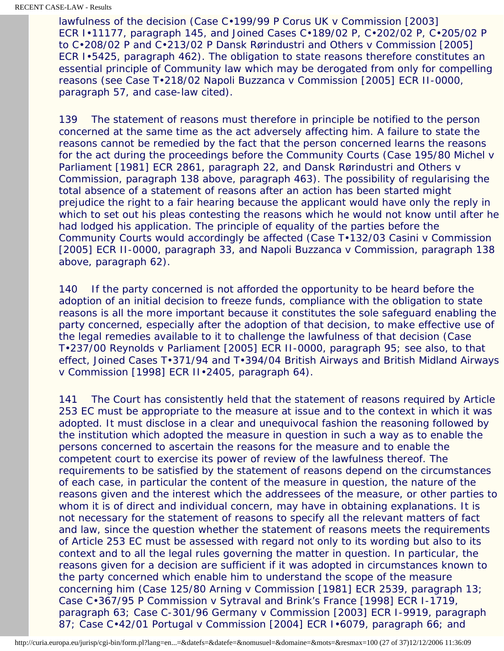lawfulness of the decision (Case C•199/99 P *Corus UK* v *Commission* [2003] ECR I•11177, paragraph 145, and Joined Cases C•189/02 P, C•202/02 P, C•205/02 P to C•208/02 P and C•213/02 P *Dansk Rørindustri and Others* v *Commission* [2005] ECR I•5425, paragraph 462). The obligation to state reasons therefore constitutes an essential principle of Community law which may be derogated from only for compelling reasons (see Case T•218/02 *Napoli Buzzanca* v *Commission* [2005] ECR II-0000, paragraph 57, and case-law cited).

139 The statement of reasons must therefore in principle be notified to the person concerned at the same time as the act adversely affecting him. A failure to state the reasons cannot be remedied by the fact that the person concerned learns the reasons for the act during the proceedings before the Community Courts (Case 195/80 *Michel* v *Parliament* [1981] ECR 2861, paragraph 22, and *Dansk Rørindustri and Others* v *Commission*, paragraph 138 above, paragraph 463). The possibility of regularising the total absence of a statement of reasons after an action has been started might prejudice the right to a fair hearing because the applicant would have only the reply in which to set out his pleas contesting the reasons which he would not know until after he had lodged his application. The principle of equality of the parties before the Community Courts would accordingly be affected (Case T•132/03 *Casini* v *Commission* [2005] ECR II-0000, paragraph 33, and *Napoli Buzzanca* v *Commission*, paragraph 138 above, paragraph 62).

140 If the party concerned is not afforded the opportunity to be heard before the adoption of an initial decision to freeze funds, compliance with the obligation to state reasons is all the more important because it constitutes the sole safeguard enabling the party concerned, especially after the adoption of that decision, to make effective use of the legal remedies available to it to challenge the lawfulness of that decision (Case T•237/00 *Reynolds* v *Parliament* [2005] ECR II-0000, paragraph 95; see also, to that effect, Joined Cases T•371/94 and T•394/04 *British Airways and British Midland Airways* v *Commission* [1998] ECR II•2405, paragraph 64).

141 The Court has consistently held that the statement of reasons required by Article 253 EC must be appropriate to the measure at issue and to the context in which it was adopted. It must disclose in a clear and unequivocal fashion the reasoning followed by the institution which adopted the measure in question in such a way as to enable the persons concerned to ascertain the reasons for the measure and to enable the competent court to exercise its power of review of the lawfulness thereof. The requirements to be satisfied by the statement of reasons depend on the circumstances of each case, in particular the content of the measure in question, the nature of the reasons given and the interest which the addressees of the measure, or other parties to whom it is of direct and individual concern, may have in obtaining explanations. It is not necessary for the statement of reasons to specify all the relevant matters of fact and law, since the question whether the statement of reasons meets the requirements of Article 253 EC must be assessed with regard not only to its wording but also to its context and to all the legal rules governing the matter in question. In particular, the reasons given for a decision are sufficient if it was adopted in circumstances known to the party concerned which enable him to understand the scope of the measure concerning him (Case 125/80 *Arning* v *Commission* [1981] ECR 2539, paragraph 13; Case C•367/95 P *Commission* v *Sytraval and Brink's France* [1998] ECR I-1719, paragraph 63; Case C-301/96 *Germany* v *Commission* [2003] ECR I-9919, paragraph 87; Case C•42/01 *Portugal* v *Commission* [2004] ECR I•6079, paragraph 66; and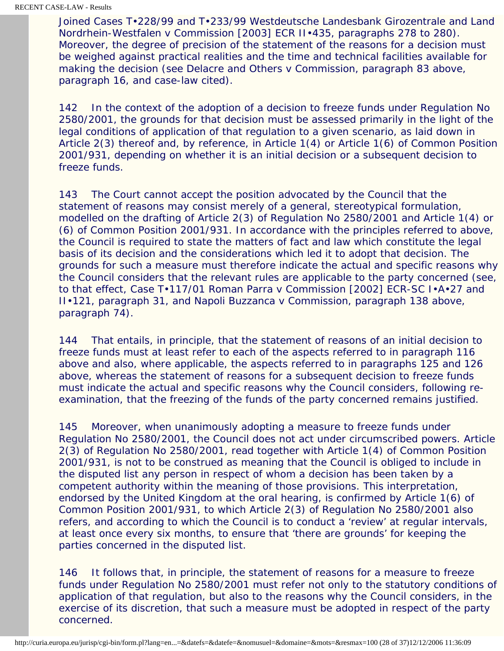Joined Cases T•228/99 and T•233/99 *Westdeutsche Landesbank Girozentrale and Land Nordrhein-Westfalen* v *Commission* [2003] ECR II•435, paragraphs 278 to 280). Moreover, the degree of precision of the statement of the reasons for a decision must be weighed against practical realities and the time and technical facilities available for making the decision (see *Delacre and Others* v *Commission*, paragraph 83 above, paragraph 16, and case-law cited).

142 In the context of the adoption of a decision to freeze funds under Regulation No 2580/2001, the grounds for that decision must be assessed primarily in the light of the legal conditions of application of that regulation to a given scenario, as laid down in Article 2(3) thereof and, by reference, in Article 1(4) or Article 1(6) of Common Position 2001/931, depending on whether it is an initial decision or a subsequent decision to freeze funds.

143 The Court cannot accept the position advocated by the Council that the statement of reasons may consist merely of a general, stereotypical formulation, modelled on the drafting of Article 2(3) of Regulation No 2580/2001 and Article 1(4) or (6) of Common Position 2001/931. In accordance with the principles referred to above, the Council is required to state the matters of fact and law which constitute the legal basis of its decision and the considerations which led it to adopt that decision. The grounds for such a measure must therefore indicate the actual and specific reasons why the Council considers that the relevant rules are applicable to the party concerned (see, to that effect, Case T•117/01 *Roman Parra* v *Commission* [2002] ECR-SC I•A•27 and II•121, paragraph 31, and *Napoli Buzzanca* v *Commission*, paragraph 138 above, paragraph 74).

144 That entails, in principle, that the statement of reasons of an initial decision to freeze funds must at least refer to each of the aspects referred to in paragraph 116 above and also, where applicable, the aspects referred to in paragraphs 125 and 126 above, whereas the statement of reasons for a subsequent decision to freeze funds must indicate the actual and specific reasons why the Council considers, following reexamination, that the freezing of the funds of the party concerned remains justified.

145 Moreover, when unanimously adopting a measure to freeze funds under Regulation No 2580/2001, the Council does not act under circumscribed powers. Article 2(3) of Regulation No 2580/2001, read together with Article 1(4) of Common Position 2001/931, is not to be construed as meaning that the Council is obliged to include in the disputed list any person in respect of whom a decision has been taken by a competent authority within the meaning of those provisions. This interpretation, endorsed by the United Kingdom at the oral hearing, is confirmed by Article 1(6) of Common Position 2001/931, to which Article 2(3) of Regulation No 2580/2001 also refers, and according to which the Council is to conduct a 'review' at regular intervals, at least once every six months, to ensure that 'there are grounds' for keeping the parties concerned in the disputed list.

146 It follows that, in principle, the statement of reasons for a measure to freeze funds under Regulation No 2580/2001 must refer not only to the statutory conditions of application of that regulation, but also to the reasons why the Council considers, in the exercise of its discretion, that such a measure must be adopted in respect of the party concerned.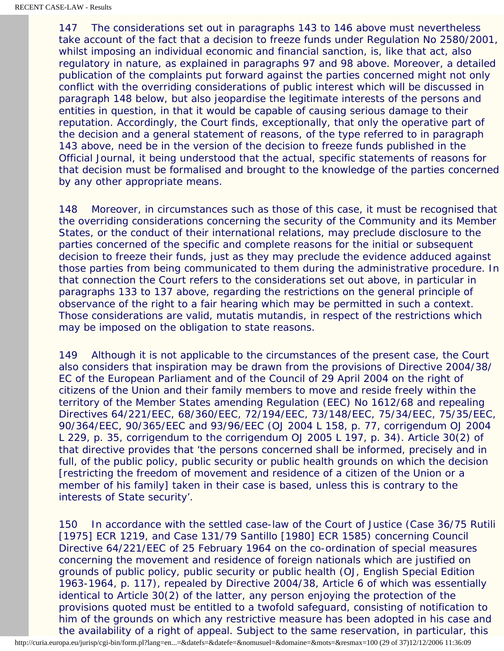147 The considerations set out in paragraphs 143 to 146 above must nevertheless take account of the fact that a decision to freeze funds under Regulation No 2580/2001, whilst imposing an individual economic and financial sanction, is, like that act, also regulatory in nature, as explained in paragraphs 97 and 98 above. Moreover, a detailed publication of the complaints put forward against the parties concerned might not only conflict with the overriding considerations of public interest which will be discussed in paragraph 148 below, but also jeopardise the legitimate interests of the persons and entities in question, in that it would be capable of causing serious damage to their reputation. Accordingly, the Court finds, exceptionally, that only the operative part of the decision and a general statement of reasons, of the type referred to in paragraph 143 above, need be in the version of the decision to freeze funds published in the *Official Journal*, it being understood that the actual, specific statements of reasons for that decision must be formalised and brought to the knowledge of the parties concerned by any other appropriate means.

148 Moreover, in circumstances such as those of this case, it must be recognised that the overriding considerations concerning the security of the Community and its Member States, or the conduct of their international relations, may preclude disclosure to the parties concerned of the specific and complete reasons for the initial or subsequent decision to freeze their funds, just as they may preclude the evidence adduced against those parties from being communicated to them during the administrative procedure. In that connection the Court refers to the considerations set out above, in particular in paragraphs 133 to 137 above, regarding the restrictions on the general principle of observance of the right to a fair hearing which may be permitted in such a context. Those considerations are valid, mutatis mutandis, in respect of the restrictions which may be imposed on the obligation to state reasons.

149 Although it is not applicable to the circumstances of the present case, the Court also considers that inspiration may be drawn from the provisions of Directive 2004/38/ EC of the European Parliament and of the Council of 29 April 2004 on the right of citizens of the Union and their family members to move and reside freely within the territory of the Member States amending Regulation (EEC) No 1612/68 and repealing Directives 64/221/EEC, 68/360/EEC, 72/194/EEC, 73/148/EEC, 75/34/EEC, 75/35/EEC, 90/364/EEC, 90/365/EEC and 93/96/EEC (OJ 2004 L 158, p. 77, corrigendum OJ 2004 L 229, p. 35, corrigendum to the corrigendum OJ 2005 L 197, p. 34). Article 30(2) of that directive provides that 'the persons concerned shall be informed, precisely and in full, of the public policy, public security or public health grounds on which the decision [restricting the freedom of movement and residence of a citizen of the Union or a member of his family] taken in their case is based, unless this is contrary to the interests of State security'.

150 In accordance with the settled case-law of the Court of Justice (Case 36/75 *Rutili* [1975] ECR 1219, and Case 131/79 *Santillo* [1980] ECR 1585) concerning Council Directive 64/221/EEC of 25 February 1964 on the co-ordination of special measures concerning the movement and residence of foreign nationals which are justified on grounds of public policy, public security or public health (OJ, English Special Edition 1963-1964, p. 117), repealed by Directive 2004/38, Article 6 of which was essentially identical to Article 30(2) of the latter, any person enjoying the protection of the provisions quoted must be entitled to a twofold safeguard, consisting of notification to him of the grounds on which any restrictive measure has been adopted in his case and the availability of a right of appeal. Subject to the same reservation, in particular, this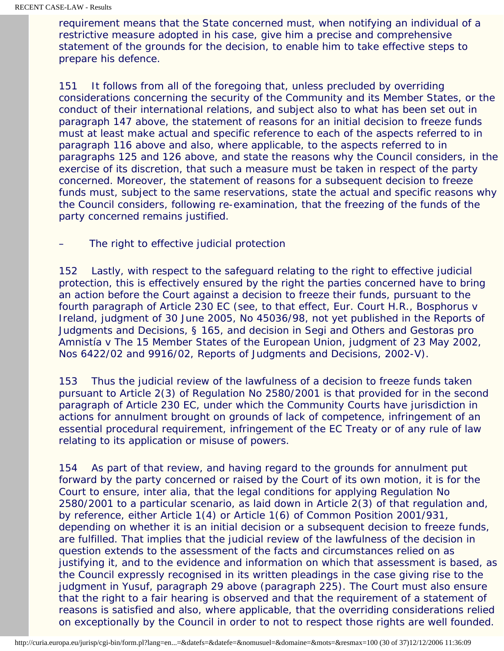requirement means that the State concerned must, when notifying an individual of a restrictive measure adopted in his case, give him a precise and comprehensive statement of the grounds for the decision, to enable him to take effective steps to prepare his defence.

151 It follows from all of the foregoing that, unless precluded by overriding considerations concerning the security of the Community and its Member States, or the conduct of their international relations, and subject also to what has been set out in paragraph 147 above, the statement of reasons for an initial decision to freeze funds must at least make actual and specific reference to each of the aspects referred to in paragraph 116 above and also, where applicable, to the aspects referred to in paragraphs 125 and 126 above, and state the reasons why the Council considers, in the exercise of its discretion, that such a measure must be taken in respect of the party concerned. Moreover, the statement of reasons for a subsequent decision to freeze funds must, subject to the same reservations, state the actual and specific reasons why the Council considers, following re-examination, that the freezing of the funds of the party concerned remains justified.

The right to effective judicial protection

152 Lastly, with respect to the safeguard relating to the right to effective judicial protection, this is effectively ensured by the right the parties concerned have to bring an action before the Court against a decision to freeze their funds, pursuant to the fourth paragraph of Article 230 EC (see, to that effect, Eur. Court H.R., *Bosphorus* v *Ireland*, judgment of 30 June 2005, No 45036/98, not yet published in the Reports of Judgments and Decisions*,* § 165, and decision in *Segi and Others and Gestoras pro Amnistía* v *The 15 Member States of the European Union*, judgment of 23 May 2002, Nos 6422/02 and 9916/02, Reports of Judgments and Decisions*,* 2002-V).

153 Thus the judicial review of the lawfulness of a decision to freeze funds taken pursuant to Article 2(3) of Regulation No 2580/2001 is that provided for in the second paragraph of Article 230 EC, under which the Community Courts have jurisdiction in actions for annulment brought on grounds of lack of competence, infringement of an essential procedural requirement, infringement of the EC Treaty or of any rule of law relating to its application or misuse of powers.

154 As part of that review, and having regard to the grounds for annulment put forward by the party concerned or raised by the Court of its own motion, it is for the Court to ensure, inter alia, that the legal conditions for applying Regulation No 2580/2001 to a particular scenario, as laid down in Article 2(3) of that regulation and, by reference, either Article 1(4) or Article 1(6) of Common Position 2001/931, depending on whether it is an initial decision or a subsequent decision to freeze funds, are fulfilled. That implies that the judicial review of the lawfulness of the decision in question extends to the assessment of the facts and circumstances relied on as justifying it, and to the evidence and information on which that assessment is based, as the Council expressly recognised in its written pleadings in the case giving rise to the judgment in *Yusuf*, paragraph 29 above (paragraph 225). The Court must also ensure that the right to a fair hearing is observed and that the requirement of a statement of reasons is satisfied and also, where applicable, that the overriding considerations relied on exceptionally by the Council in order to not to respect those rights are well founded.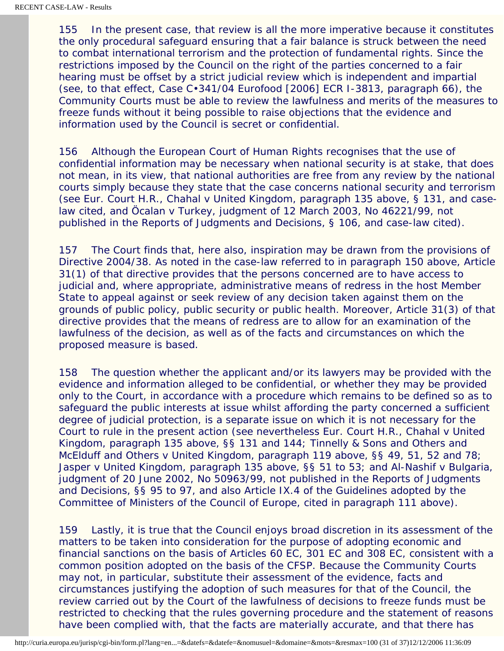155 In the present case, that review is all the more imperative because it constitutes the only procedural safeguard ensuring that a fair balance is struck between the need to combat international terrorism and the protection of fundamental rights. Since the restrictions imposed by the Council on the right of the parties concerned to a fair hearing must be offset by a strict judicial review which is independent and impartial (see, to that effect, Case C•341/04 *Eurofood* [2006] ECR I-3813, paragraph 66), the Community Courts must be able to review the lawfulness and merits of the measures to freeze funds without it being possible to raise objections that the evidence and information used by the Council is secret or confidential.

156 Although the European Court of Human Rights recognises that the use of confidential information may be necessary when national security is at stake, that does not mean, in its view, that national authorities are free from any review by the national courts simply because they state that the case concerns national security and terrorism (see Eur. Court H.R., *Chahal* v *United Kingdom*, paragraph 135 above, § 131, and caselaw cited, and *Öcalan* v *Turkey*, judgment of 12 March 2003, No 46221/99, not published in the Reports of Judgments and Decisions*,* § 106, and case-law cited).

157 The Court finds that, here also, inspiration may be drawn from the provisions of Directive 2004/38. As noted in the case-law referred to in paragraph 150 above, Article 31(1) of that directive provides that the persons concerned are to have access to judicial and, where appropriate, administrative means of redress in the host Member State to appeal against or seek review of any decision taken against them on the grounds of public policy, public security or public health. Moreover, Article 31(3) of that directive provides that the means of redress are to allow for an examination of the lawfulness of the decision, as well as of the facts and circumstances on which the proposed measure is based.

158 The question whether the applicant and/or its lawyers may be provided with the evidence and information alleged to be confidential, or whether they may be provided only to the Court, in accordance with a procedure which remains to be defined so as to safeguard the public interests at issue whilst affording the party concerned a sufficient degree of judicial protection, is a separate issue on which it is not necessary for the Court to rule in the present action (see nevertheless Eur. Court H.R., *Chahal* v *United Kingdom*, paragraph 135 above, §§ 131 and 144; *Tinnelly & Sons and Others and McElduff and Others* v *United Kingdom*, paragraph 119 above, §§ 49, 51, 52 and 78; *Jasper* v *United Kingdom*, paragraph 135 above, §§ 51 to 53; and *Al-Nashif* v *Bulgaria*, judgment of 20 June 2002, No 50963/99, not published in the *Reports of Judgments and Decisions,* §§ 95 to 97, and also Article IX.4 of the Guidelines adopted by the Committee of Ministers of the Council of Europe, cited in paragraph 111 above).

159 Lastly, it is true that the Council enjoys broad discretion in its assessment of the matters to be taken into consideration for the purpose of adopting economic and financial sanctions on the basis of Articles 60 EC, 301 EC and 308 EC, consistent with a common position adopted on the basis of the CFSP. Because the Community Courts may not, in particular, substitute their assessment of the evidence, facts and circumstances justifying the adoption of such measures for that of the Council, the review carried out by the Court of the lawfulness of decisions to freeze funds must be restricted to checking that the rules governing procedure and the statement of reasons have been complied with, that the facts are materially accurate, and that there has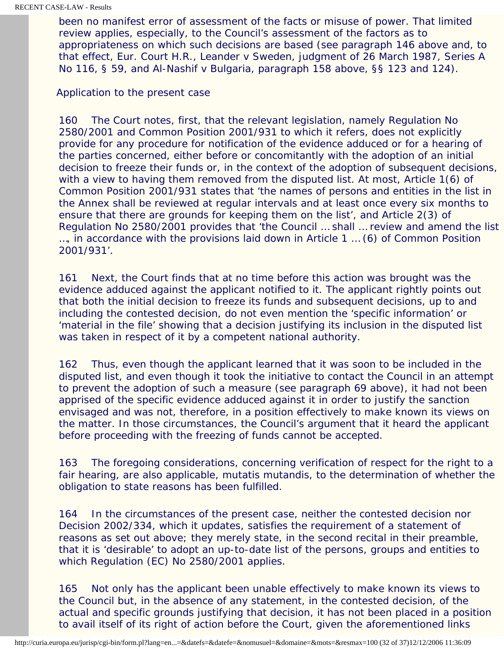been no manifest error of assessment of the facts or misuse of power. That limited review applies, especially, to the Council's assessment of the factors as to appropriateness on which such decisions are based (see paragraph 146 above and, to that effect, Eur. Court H.R., *Leander* v *Sweden*, judgment of 26 March 1987, Series A No 116, § 59, and *Al-Nashif* v *Bulgaria*, paragraph 158 above, §§ 123 and 124).

### Application to the present case

160 The Court notes, first, that the relevant legislation, namely Regulation No 2580/2001 and Common Position 2001/931 to which it refers, does not explicitly provide for any procedure for notification of the evidence adduced or for a hearing of the parties concerned, either before or concomitantly with the adoption of an initial decision to freeze their funds or, in the context of the adoption of subsequent decisions, with a view to having them removed from the disputed list. At most, Article 1(6) of Common Position 2001/931 states that 'the names of persons and entities in the list in the Annex shall be reviewed at regular intervals and at least once every six months to ensure that there are grounds for keeping them on the list', and Article 2(3) of Regulation No 2580/2001 provides that 'the Council … shall … review and amend the list …, in accordance with the provisions laid down in Article 1 … (6) of Common Position 2001/931'.

161 Next, the Court finds that at no time before this action was brought was the evidence adduced against the applicant notified to it. The applicant rightly points out that both the initial decision to freeze its funds and subsequent decisions, up to and including the contested decision, do not even mention the 'specific information' or 'material in the file' showing that a decision justifying its inclusion in the disputed list was taken in respect of it by a competent national authority.

162 Thus, even though the applicant learned that it was soon to be included in the disputed list, and even though it took the initiative to contact the Council in an attempt to prevent the adoption of such a measure (see paragraph 69 above), it had not been apprised of the specific evidence adduced against it in order to justify the sanction envisaged and was not, therefore, in a position effectively to make known its views on the matter. In those circumstances, the Council's argument that it heard the applicant before proceeding with the freezing of funds cannot be accepted.

163 The foregoing considerations, concerning verification of respect for the right to a fair hearing, are also applicable, mutatis mutandis, to the determination of whether the obligation to state reasons has been fulfilled.

164 In the circumstances of the present case, neither the contested decision nor Decision 2002/334, which it updates, satisfies the requirement of a statement of reasons as set out above; they merely state, in the second recital in their preamble, that it is 'desirable' to adopt an up-to-date list of the persons, groups and entities to which Regulation (EC) No 2580/2001 applies.

165 Not only has the applicant been unable effectively to make known its views to the Council but, in the absence of any statement, in the contested decision, of the actual and specific grounds justifying that decision, it has not been placed in a position to avail itself of its right of action before the Court, given the aforementioned links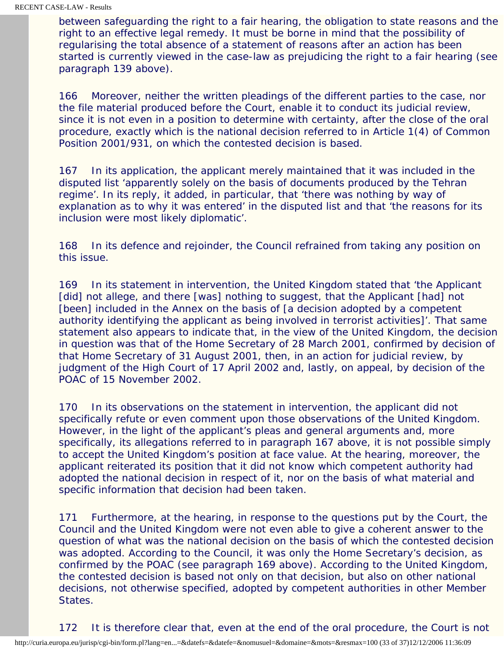between safeguarding the right to a fair hearing, the obligation to state reasons and the right to an effective legal remedy. It must be borne in mind that the possibility of regularising the total absence of a statement of reasons after an action has been started is currently viewed in the case-law as prejudicing the right to a fair hearing (see paragraph 139 above).

166 Moreover, neither the written pleadings of the different parties to the case, nor the file material produced before the Court, enable it to conduct its judicial review, since it is not even in a position to determine with certainty, after the close of the oral procedure, exactly which is the national decision referred to in Article 1(4) of Common Position 2001/931, on which the contested decision is based.

167 In its application, the applicant merely maintained that it was included in the disputed list 'apparently solely on the basis of documents produced by the Tehran regime'. In its reply, it added, in particular, that 'there was nothing by way of explanation as to why it was entered' in the disputed list and that 'the reasons for its inclusion were most likely diplomatic'.

168 In its defence and rejoinder, the Council refrained from taking any position on this issue.

169 In its statement in intervention, the United Kingdom stated that 'the Applicant [did] not allege, and there [was] nothing to suggest, that the Applicant [had] not [been] included in the Annex on the basis of [a decision adopted by a competent authority identifying the applicant as being involved in terrorist activities]'. That same statement also appears to indicate that, in the view of the United Kingdom, the decision in question was that of the Home Secretary of 28 March 2001, confirmed by decision of that Home Secretary of 31 August 2001, then, in an action for judicial review, by judgment of the High Court of 17 April 2002 and, lastly, on appeal, by decision of the POAC of 15 November 2002.

170 In its observations on the statement in intervention, the applicant did not specifically refute or even comment upon those observations of the United Kingdom. However, in the light of the applicant's pleas and general arguments and, more specifically, its allegations referred to in paragraph 167 above, it is not possible simply to accept the United Kingdom's position at face value. At the hearing, moreover, the applicant reiterated its position that it did not know which competent authority had adopted the national decision in respect of it, nor on the basis of what material and specific information that decision had been taken.

171 Furthermore, at the hearing, in response to the questions put by the Court, the Council and the United Kingdom were not even able to give a coherent answer to the question of what was the national decision on the basis of which the contested decision was adopted. According to the Council, it was only the Home Secretary's decision, as confirmed by the POAC (see paragraph 169 above). According to the United Kingdom, the contested decision is based not only on that decision, but also on other national decisions, not otherwise specified, adopted by competent authorities in other Member States.

172 It is therefore clear that, even at the end of the oral procedure, the Court is not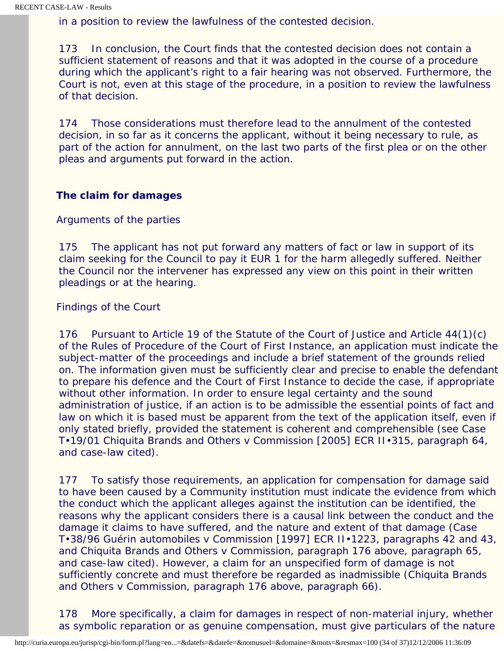in a position to review the lawfulness of the contested decision.

173 In conclusion, the Court finds that the contested decision does not contain a sufficient statement of reasons and that it was adopted in the course of a procedure during which the applicant's right to a fair hearing was not observed. Furthermore, the Court is not, even at this stage of the procedure, in a position to review the lawfulness of that decision.

174 Those considerations must therefore lead to the annulment of the contested decision, in so far as it concerns the applicant, without it being necessary to rule, as part of the action for annulment, on the last two parts of the first plea or on the other pleas and arguments put forward in the action.

### **The claim for damages**

### *Arguments of the parties*

175 The applicant has not put forward any matters of fact or law in support of its claim seeking for the Council to pay it EUR 1 for the harm allegedly suffered. Neither the Council nor the intervener has expressed any view on this point in their written pleadings or at the hearing.

## *Findings of the Court*

176 Pursuant to Article 19 of the Statute of the Court of Justice and Article 44(1)(c) of the Rules of Procedure of the Court of First Instance, an application must indicate the subject-matter of the proceedings and include a brief statement of the grounds relied on. The information given must be sufficiently clear and precise to enable the defendant to prepare his defence and the Court of First Instance to decide the case, if appropriate without other information. In order to ensure legal certainty and the sound administration of justice, if an action is to be admissible the essential points of fact and law on which it is based must be apparent from the text of the application itself, even if only stated briefly, provided the statement is coherent and comprehensible (see Case T•19/01 *Chiquita Brands and Others* v *Commission* [2005] ECR II•315, paragraph 64, and case-law cited).

177 To satisfy those requirements, an application for compensation for damage said to have been caused by a Community institution must indicate the evidence from which the conduct which the applicant alleges against the institution can be identified, the reasons why the applicant considers there is a causal link between the conduct and the damage it claims to have suffered, and the nature and extent of that damage (Case T•38/96 *Guérin automobiles* v *Commission* [1997] ECR II•1223, paragraphs 42 and 43, and *Chiquita Brands and Others* v *Commission*, paragraph 176 above, paragraph 65, and case-law cited). However, a claim for an unspecified form of damage is not sufficiently concrete and must therefore be regarded as inadmissible (*Chiquita Brands and Others* v *Commission*, paragraph 176 above, paragraph 66).

178 More specifically, a claim for damages in respect of non-material injury, whether as symbolic reparation or as genuine compensation, must give particulars of the nature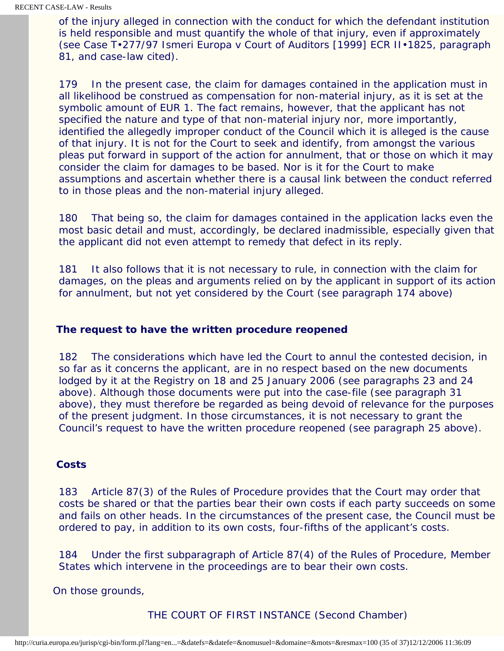of the injury alleged in connection with the conduct for which the defendant institution is held responsible and must quantify the whole of that injury, even if approximately (see Case T•277/97 *Ismeri Europa* v *Court of Auditors* [1999] ECR II•1825, paragraph 81, and case-law cited).

179 In the present case, the claim for damages contained in the application must in all likelihood be construed as compensation for non-material injury, as it is set at the symbolic amount of EUR 1. The fact remains, however, that the applicant has not specified the nature and type of that non-material injury nor, more importantly, identified the allegedly improper conduct of the Council which it is alleged is the cause of that injury. It is not for the Court to seek and identify, from amongst the various pleas put forward in support of the action for annulment, that or those on which it may consider the claim for damages to be based. Nor is it for the Court to make assumptions and ascertain whether there is a causal link between the conduct referred to in those pleas and the non-material injury alleged.

180 That being so, the claim for damages contained in the application lacks even the most basic detail and must, accordingly, be declared inadmissible, especially given that the applicant did not even attempt to remedy that defect in its reply.

181 It also follows that it is not necessary to rule, in connection with the claim for damages, on the pleas and arguments relied on by the applicant in support of its action for annulment, but not yet considered by the Court (see paragraph 174 above)

### **The request to have the written procedure reopened**

182 The considerations which have led the Court to annul the contested decision, in so far as it concerns the applicant, are in no respect based on the new documents lodged by it at the Registry on 18 and 25 January 2006 (see paragraphs 23 and 24 above). Although those documents were put into the case-file (see paragraph 31 above), they must therefore be regarded as being devoid of relevance for the purposes of the present judgment. In those circumstances, it is not necessary to grant the Council's request to have the written procedure reopened (see paragraph 25 above).

#### **Costs**

183 Article 87(3) of the Rules of Procedure provides that the Court may order that costs be shared or that the parties bear their own costs if each party succeeds on some and fails on other heads. In the circumstances of the present case, the Council must be ordered to pay, in addition to its own costs, four-fifths of the applicant's costs.

184 Under the first subparagraph of Article 87(4) of the Rules of Procedure, Member States which intervene in the proceedings are to bear their own costs.

On those grounds,

THE COURT OF FIRST INSTANCE (Second Chamber)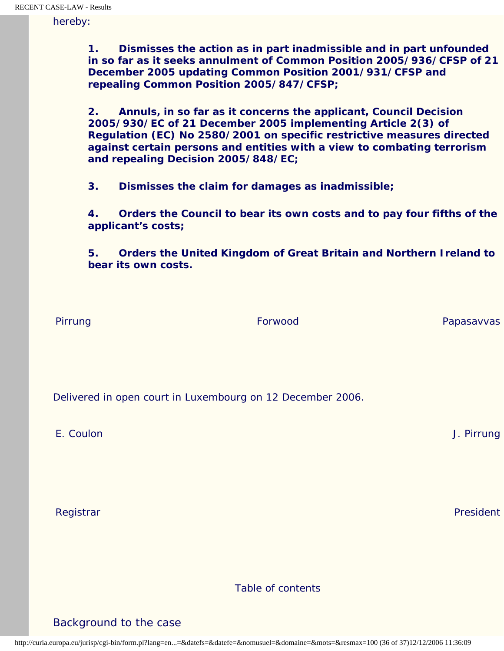hereby:

**1. Dismisses the action as in part inadmissible and in part unfounded in so far as it seeks annulment of Common Position 2005/936/CFSP of 21 December 2005 updating Common Position 2001/931/CFSP and repealing Common Position 2005/847/CFSP;**

**2. Annuls, in so far as it concerns the applicant, Council Decision 2005/930/EC of 21 December 2005 implementing Article 2(3) of Regulation (EC) No 2580/2001 on specific restrictive measures directed against certain persons and entities with a view to combating terrorism and repealing Decision 2005/848/EC;**

**3. Dismisses the claim for damages as inadmissible;**

**4. Orders the Council to bear its own costs and to pay four fifths of the applicant's costs;**

**5. Orders the United Kingdom of Great Britain and Northern Ireland to bear its own costs.**

Pirrung **Forwood** Papasavvas Papasavvas Papasavvas Papasavvas Papasavvas Papasavvas Papasavvas Papasavvas Papasavvas

Delivered in open court in Luxembourg on 12 December 2006.

E. Coulon J. Pirrung

Registrar President (Pacific Access) and the contract of the contract of the contract of the contract of the contract of the contract of the contract of the contract of the contract of the contract of the contract of the c

Table of contents

Background to the case

http://curia.europa.eu/jurisp/cgi-bin/form.pl?lang=en...=&datefs=&datefe=&nomusuel=&domaine=&mots=&resmax=100 (36 of 37)12/12/2006 11:36:09